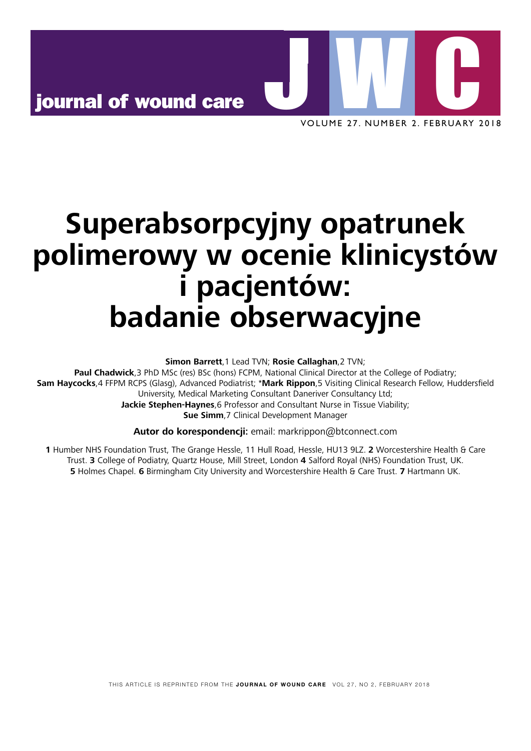dressings for treatment of heavily exuding chronic wounds. Chronic



 $\overline{3}$  Schulze  $\overline{3}$  but al. Evaluation and  $\overline{3}$ VOLUME 27. NUMBER 2. FEBRUARY 2018<br>.

practice

## containing wound dressings have a beneficial effect on wound healing by reducing PMN elastase concentration and inhibiting microbial growth. J Mater Sci Mater Med 2011; 22(11):2583–2590. https://doi.org/ 10. J W N 21 Wiegand C, Abel M, Muldoon J, Ruth P, Hipler UC. SAP-containing dressings exhibit sustained antimicrobial effects over 7 days in vitro. J AAIIMALAMI yvill 22 Person e, Person A, Blom K. Effect of Super 3D acellular tissue model of Pseudomonas aeruginosa biofilm. J Wound  $\blacksquare$ 23 Wiegand C, Hipler UC. A superabsorbent polymer-containing wound dressing efficiently sequesters MMPs and inhibits collagenase activity in vitro. J Mater Sci Mater Med 2013; 24(10):2473–2478. https://doi.org/ 10.1007/s10856-013-4990-6 w. Scharffetter-Kochanek K. Oxidative stress in chronic stress in chronic stress in chronic stress in chronic 37 White R, Gardner S, Cutting K. What is the current status of foam  $\overline{a}$   $\overline{b}$   $\overline{c}$   $\overline{c}$   $\overline{c}$   $\overline{c}$ 38 Internal Laboratory report Ref. 685020 and 685020 (data on file), Superabsorpcyjny opatrunek Hautkrankheiten  $39.9 <sub>1</sub> <sub>1</sub> <sub>1</sub> <sub>2</sub> <sub>3</sub> <sub>3</sub> <sub>4</sub> <sub>5</sub> <sub>6</sub> <sub>7</sub> <sub>8</sub> <sub>9</sub> <sub>1</sub> <sub>1</sub> <sub>1</sub> <sub>1</sub> <sub>1</sub> <sub>1</sub> <sub>1</sub> <sub>1</sub> <sub>1</sub> <sub>1</sub> <sub>1</sub> <sub>1</sub> <sub>1</sub> <sub>1</sub> <sub>1</sub> <sub>1</sub> <sub>1</sub> <sub>1</sub> <sub>1</sub>$ polymer dressing: a 53-patient clinical evaluation. J Wound Care 2009; polimerowy w ocenie klinicystów  $40$  Verral D, Coulborn A, Bree-Aslan C. Evaluating a super absorbert absorbent absorbent absorbent absorbent absorbent absorbent absorbent absorbent absorbent absorbent absorbent absorbent absorbent absorbent absorbent a dressing (Flivasorb) in highly exuminated wounds. Br  $\mathcal{L}$  $\blacksquare$ iantaw $\blacksquare$ 41 Goto T, Tamai N, Nakagami G et al. Can wound exudate from venous i pacjentów: 11(12):e0167478. https://doi.org/ 10.1371/journal.pone.01674 1 DECAMPIN I 43 Morris C. Flivasorb® and the management of exudate. Wounds UK badanie obserwacyjne Sournal of wound care<br>
soluting 27. NUMBER 2. FEBRUA<br>
DOCENTE RINICYSTER<br>
DOCENTE RINICYSTER<br>
in particular consideration of the Chapel of Postary.<br>
Band Chappel Consider Care Trust Riggins 2 TVP:<br>
Band Chapel Consider Car

**Simon Barrett**,1 Lead TVN; **Rosie Callaghan**,2 TVN;

**Paul Chadwick**, 3 PhD MSc (res) BSc (hons) FCPM, National Clinical Director at the College of P Sam Havrocks A EEPM RCPS (Glaso): Advanced Sam Haycocks,4 FFPM RCPS (Glasg), Advanced Podiatrist; \*Mark Rippon,5 Visiting Clinical Research Fellow, Huddersfield University, Medical Marketing Consultant Daneriver Consultancy Ltd;  $28800220$  Pay scales 2017–18 https:// **Sue Simm**,7 Clinical Development Manager **Paul Chadwick**,3 PhD MSc (res) BSc (hons) FCPM, National Clinical Director at the College of Podiatry; of protections on the chronic wound environment. International contract wound environment. In the second contract of  $\mathcal{L}$ Jackie Stephen-Haynes, 6 Professor and Consultant Nurse in Tissue Viability;

**29 Autor do korespondencii:** email: markripp **Autor do korespondencji:** email: markrippon@btconnect.com

and their evaluation. J Wound Care 2016; 25(1):46–55. https://doi.org/

1 Humber NHS Foundation Trust, The Grange I Trust. 3 College of Podiatry, Quartz House, Mill Street, London 4 Salford Royal (NHS) Foundation Trust, UK. periwound skin protection in venous ulcers: a comparison of treatments. 1 Humber NHS Foundation Trust, The Grange Hessle, 11 Hull Road, Hessle, HU13 9LZ. 2 Worcestershire Health & Care **5** Holmes Chapel. **6** Birmingham City University and Worcestershire Health & Care Trust. **7** Hartmann UK.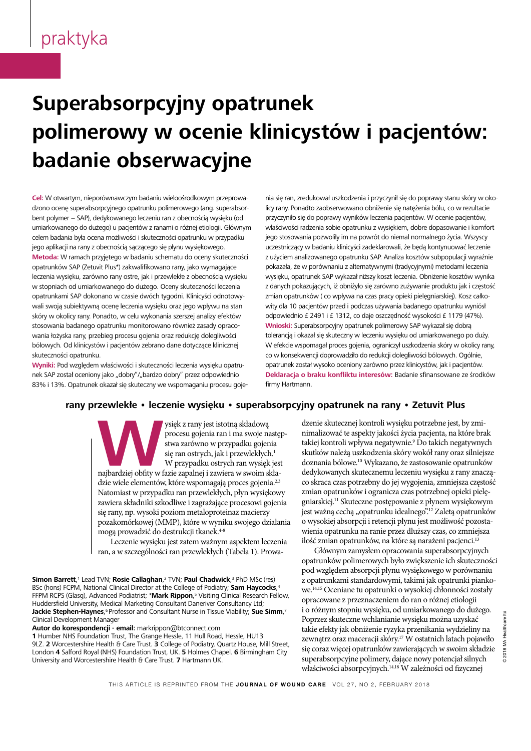#### exudate management. J Wound Care 2016; 25(8):452–462. https://doi. suneransr wiedand C, Titler P. Clinical efficiency of P. Clinical E. Clinical E. Clinical E dressings for treatment of heavily exuding chronic wounds. Chronic Wound Care Manage Res 2015; 2:101–1111. https://doi.org/10.2147/2:101–111. https://doi.org/10.2147/2147/2147/2 YO IIIN *J*ohnicion y woch 2013; 22(5):221–229. https://doi.org/ 10.12968/jowc.2013.22.5.221 padanie opserwacj 32 Managing BP. 'wet legs' in patients with chronic oedema. In: Skills for Practice: Management of Chronic Oedema in the Community. Superabsorpcyjny opatrunek hydropolismer dressing for exuding for exuding venous leg ulcers. J wound Care extension and Care extension and : KIIIIILVSLOW I DdL polimerowy w ocenie klinicystów i pacjentów: badanie obserwacyjne  $\overline{\mathbf{c}}$  bianchi T, Wolcott RD, Peghetti A et al. Recommendations for the theorem in the theorem in the theorem in the theorem in the theorem in the theorem in the theorem in the theorem in the theorem in the theorem i statement di provincia e Espainia. Anno 1982, est de la provincia e la provincia e la provincia e la provincia romu ma ocania klinia IVVVY VV ULLIIIL INIIIII a ohsarwacvina d owder rracyjne  $\mathbf{z}$ present. These conditions can generally be attributed to wctów i naciontów: contains many components, such as  $\mathbf{y}$

Cel: W otwartym, nieporównawczym badaniu wieloośrodkowym przeprowa- nia się ran, dzono ocenę superabsorpcyjnego opatrunku polimerowego (ang. superabsor- licy rany. Pro bent polymer – SAP), dedykowanego leczeniu ran z obecnością wysięku (od aneprzyczyniło J Material Medicines (1920); 22 (11):2583–2590. https://doi.org/<br>Doi.org/2011; 2012; 22(11):2583–2590. html umiarkowanego do dużego) u pacjentów z ranami o różnej etiologii. Głównym właściwoś celem badania była ocena możliwości i skuteczności opatrunku w przypadku i jego stosow jego aplikacji na rany z obecnością sączącego się płynu wysiękowego. **Teorowie wiewie wiewie wysiękowe**go. Zastanicza  $W_1 = \frac{2}{3}$ **Metoda:** W ramach przyjętego w badaniu schematu do oceny skuteczności z użyciem a opatrunków SAP (Zetuvit Plus\*) zakwalifikowano rany, jako wymagające bokazała, ż leczenia wysięku, zarówno rany ostre, jak i przewlekłe z obecnością wysięku wysięku, o  $\frac{1}{2}$ w stopniach od umiarkowanego do dużego. Oceny skuteczności leczenia opatrunkami SAP dokonano w czasie dwóch tygodni. Klinicyści odnotowy- zmian opa vitro. J Mater Sci Mater Med 2013; 24(10):2473–2478. https://doi.org/ wali swoją subiektywną ocenę leczenia wysięku oraz jego wpływu na stan wity dla 10 skóry w okolicy rany. Ponadto, w celu wykonania szerszej analizy efektów w odpowiedi stosowania badanego opatrunku monitorowano również zasady opraco-**with withoski:** 9 doi.org/ 10.1111/j.1067-1927.2005. wania łożyska rany, przebieg procesu gojenia oraz redukcję dolegliwości szonat tolerancją i bólowych. Od klinicystów i pacjentów zebrano dane dotyczące klinicznej w Wefekcie relations w skuteczności opatrunku. 1.1225.10026.00250.1112.11

Wyniki: Pod względem właściwości i skuteczności leczenia wysięku opatrunek SAP został oceniony jako "dobry"/"bardzo dobry" przez odpowiednio **Deklaracj**  $\frac{1}{201}$ ; 120( Opetrupels elementair du terminis isocialismus in 83% i 13%. Opatrunek okazał się skuteczny we wspomaganiu procesu goje- firmy Harti

Healthcare Ltd, 2017

va- nia się ran, zredukował uszkodzenia i przyczynił się do poprawy stanu skóry w oko- $\frac{1}{2}$  and  $\frac{1}{2}$ ;  $\frac{1}{2}$ ;  $\frac{1}{2}$ ;  $\frac{1}{2}$ ;  $\frac{1}{2}$ ;  $\frac{1}{2}$ ;  $\frac{1}{2}$ ;  $\frac{1}{2}$ ;  $\frac{1}{2}$ ;  $\frac{1}{2}$ ;  $\frac{1}{2}$ ;  $\frac{1}{2}$ ;  $\frac{1}{2}$ ;  $\frac{1}{2}$ ;  $\frac{1}{2}$ ;  $\frac{1}{2}$ ;  $\frac{1}{2}$ ;  $\frac{1}{2}$ ;  $\frac{1}{2}$ sor- licy rany. Ponadto zaobserwowano obniżenie się natężenia bólu, co w rezultacie d czyczyniło się do poprawy wyników leczenia pacjentów. W ocenie pacjentów, nym właściwości radzenia sobie opatrunku z wysiękiem, dobre dopasowanie i komfort Clinic for skin diseases Erfurter Str. 35, 07743 Jena Klinik für a jego stosowania pozwoliły im na powrót do niemal normalnego życia. Wszyscy uczestniczący w badaniu klinicyści zadeklarowali, że będą kontynuować leczenie ości z użyciem analizowanego opatrunku SAP. Analiza kosztów subpopulacji wyraźnie  $\frac{1}{2}$ pokazała, że w porównaniu z alternatywnymi (tradycyjnymi) metodami leczenia ku wysięku, opatrunek SAP wykazał niższy koszt leczenia. Obniżenie kosztów wynika z danych pokazujących, iż obniżyło się zarówno zużywanie produktu jak i częstość y- zmian opatrunków ( co wpływa na czas pracy opieki pielęgniarskiej). Kosz całkoleg ulcers measure wound pain status?: a pilot study. PLoS ONE 2016; n wity dla 10 pacjentów przed i podczas używania badanego opatrunku wyniósł odpowiednio £ 2491 i £ 1312, co daje oszczędność wysokości £ 1179 (47%). Wnioski: Superabsorpcyjny opatrunek polimerowy SAP wykazał się dobrą 2009; 5(2):63–66. tolerancją i okazał się skuteczny w leczeniu wysięku od umiarkowanego po duży. W efekcie wspomagał proces gojenia, ograniczył uszkodzenia skóry w okolicy rany, co w konsekwencji doprowadziło do redukcji dolegliwości bólowych. Ogólnie,  $\frac{1}{10}$  which is the first property in  $\frac{1}{100}$  contains  $\frac{1}{100}$ . u- opatrunek został wysoko oceniony zarówno przez klinicystów, jak i pacjentów. Deklaracja o braku konfliktu interesów: Badanie sfinansowane ze środków <sub>)</sub>je- firmy Hartmann.  $T$ 

#### $H<sub>1</sub>$ 28 Royal Precincing College of Nursing of proteases on the chronic wound environment. Int J Low Extrem rany przewlekłe • leczenie wysięku • superabsorpcyjny opatrunek na rany • Zetuvit Plus less expensive. The reduction in costs arises from data

(accessed 30 January 2018) procesu gojenia ran i ma swoje następ- nim absorbed post-debride post-debrident blood. Perfectus Panel absorbed post-debride post-debride post-debridement blood. Perfectus Panel absorbed post-debride post-debride post-debride post-debride post-debride post-debride **Laboratories, Scitter Daresbury, Scitter Daresbury, Cheshire, Cheshire, ADAD** 51e ran ostrych, jak i przewlekłych.<sup>1</sup> W przypadku ostrych ran wysięk jest doz Wasięk z rany jest istotną składową<br>
procesu gojenia ran i ma swoje nastę<br>
stwa zarówno w przypadku gojenia<br>
W przypadku ostrych ran wysięk jest<br>
M przypadku ostrych ran wysięk jest<br>
dzia wielo elementów które wronowania p dzie wiele elementów, które wspomagają proces gojenia.<sup>2,3</sup> ane wire ciententow, także wopontagcy, proces goychan.<br>Natomiast w przypadku ran przewlekłych, płyn wysiękowy zawiera składniki szkodliwe i zagrażające procesowi gojenia się rany, np. wysoki poziom metaloproteinaz macierzy pozakomórkowej (MMP), które w wyniku swojego działania mogą prowadzić do destrukcji tkanek. $^{\rm 4-8}$ absorb wound exudate of varying viscosities, which ysięk z rany jest istotną składową ratomiast w przyj 31 Pany, mp. wysoki poziom metaloprotemaz maeler

zezenie wysięku jest zatem ważnym aspektem leczenia ran, a w szczególności ran przewlekłych (Tabela 1). Prowa-LECZETHE WYSIĘKU JEST ZATETH WAZHYTH ASPEKTENI IECZE gelatinase-associated lipocalin. Wound Repair Regen 2013; 21(3):395–

**Simon Barrett**,<sup>1</sup> Lead TVN; **Rosie Callaghan**,<sup>2</sup> TVN; **Paul Chadwick**,<sup>3</sup> PhD MSc (res) **Simon Barrett,**' Lead TVN; **Rosie Callaghan,**? TVN; **Paul Chadwick,**3 PhD MSc (res)<br>BSc (hons) FCPM, National Clinical Director at the College of Podiatry; **Sam Haycocks,**4 FFPM RCPS (Glasg), Advanced Podiatrist; \*Mark Rippon,<sup>5</sup> Visiting Clinical Research Fellow, **Jackie Stephen-Haynes**,<sup>6</sup> Professor and Consultant Nurse in Tissue Viability; Sue Simm,<sup>7</sup> Huddersfield University, Medical Marketing Consultant Daneriver Consultancy Ltd; Clinical Development Manager

Autor do korespondencji - email: markrippon@btconnect.com

1 Humber NHS Foundation Trust, The Grange Hessle, 11 Hull Road, Hessle, HU13 9LZ. 2 Worcestershire Health & Care Trust. **3** College of Podiatry, Quartz House, Mill Street, London 4 Salford Royal (NHS) Foundation Trust, UK. 5 Holmes Chapel. 6 Birmingham City University and Worcestershire Health & Care Trust. **7** Hartmann UK.

składową dzenie skutecznej kontroli wysięku potrzebne jest, by zmi- $\alpha$  swoje hastęp  $\alpha$  m. Thomas which  $\alpha$  is equal to  $\alpha$ . dku gojenia <sup>takiej</sup> kontroli wpływa negatywnie.<sup>9</sup> Do takich negatywnych ewlekłych.<sup>1</sup> skutków należą uszkodzenia skóry wokół rany oraz silniejsze nimalizować te aspekty jakości życia pacjenta, na które brak doznania bólowe.10 Wykazano, że zastosowanie opatrunków dedykowanych skutecznemu leczeniu wysięku z rany znacząco skraca czas potrzebny do jej wygojenia, zmniejsza częstość zmian opatrunków i ogranicza czas potrzebnej opieki pielęgniarskiej.<sup>11</sup> Skuteczne postępowanie z płynem wysiękowym jest ważną cechą "opatrunku idealnego".<sup>12</sup> Zaletą opatrunków o wysokiej absorpcji i retencji płynu jest możliwość pozostawienia opatrunku na ranie przez dłuższy czas, co zmniejsza ilość zmian opatrunków, na które są narażeni pacjenci.<sup>13</sup> nosc ziman opaŭ unikovi, na kiore są narazem pacjenci.

Głównym zamysłem opracowania superabsorpcyjnych opatrunków polimerowych było zwiększenie ich skuteczności pod względem absorpcji płynu wysiękowego w porównaniu z opatrunkami standardowymi, takimi jak opatrunki piankowe.<sup>14,15</sup> Oceniane tu opatrunki o wysokiej chłonności zostały opracowane z przeznaczeniem do ran o różnej etiologii i o różnym stopniu wysięku, od umiarkowanego do dużego. Poprzez skuteczne wchłanianie wysięku można uzyskać takie efekty jak obniżenie ryzyka przenikania wydzieliny na zewnątrz oraz maceracji skóry.<sup>17</sup> W ostatnich latach pojawiło się coraz więcej opatrunków zawierających w swoim składzie superabsorpcyjne polimery, dające nowy potencjał silnych właściwości absorpcyjnych.14,18 W zależności od fizycznej pod względem absorp w. Cerman tu opairunu o wysome emonio 1 Optice skuleezhe werhannanne wysięku mozna uzyska się coraz więcej opatrulików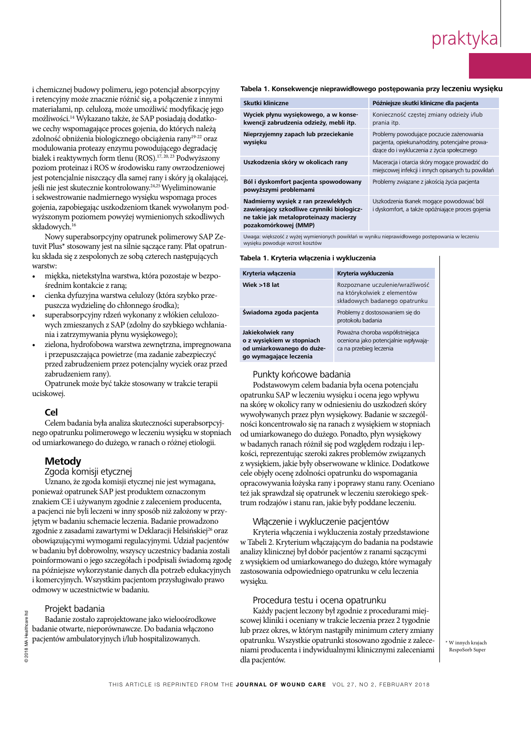- miękka, nietekstylna warstwa, która pozostaje w bezpo- $\frac{2}{3}$ średnim kontakcie z raną;
- $\bullet$  cienka dyfuzyjna warstwa celulozy (która szybko prze $m$  $\alpha$ za wydzieline do chłonnego środka); puszcza wydzielinę do chłonnego środka);<br>...
- superabsorpcyjny rdzeń wykonany z włókien celulozowych zmieszanych z SAP (zdolny do szybkiego wchłaniadoi.org/ 10.11111/j.1067-1928. nia i zatrzymywania płynu wysiękowego);
- zielona, hydrofobowa warstwa zewnętrzna, impregnowana i przepuszczająca powietrze (ma zadanie zabezpieczyć  $\frac{1}{1}$  1  $\frac{1}{1}$ przed zabrudzeniem przez potencjalny wyciek oraz przed zabrudzeniem rany).

#### $\mathcal{C}$ ollege of Nursing (RCN) nhs pay scales 2017–18 https:// **Cel**

## 31 Whayman N. The causes and treatment of wet weeping legs. Wound **Metody**

### Zgoda komisji etycznej

### Projekt badania

#### Tabela 1. Konsekwencje nieprawidłowego postępowania przy leczeniu wysieku

| i chemicznej budowy polimeru, jego potencjał absorpcyjny                                                                                                                                                                                                                                                                                                                                                                                                                                                                                                      | Tabela 1. Konsekwencje nieprawidłowego postępowania przy leczeniu wysięku                                                                                                                                                                                                                                                                                             |                         |                                                                                                                                          |                                       |
|---------------------------------------------------------------------------------------------------------------------------------------------------------------------------------------------------------------------------------------------------------------------------------------------------------------------------------------------------------------------------------------------------------------------------------------------------------------------------------------------------------------------------------------------------------------|-----------------------------------------------------------------------------------------------------------------------------------------------------------------------------------------------------------------------------------------------------------------------------------------------------------------------------------------------------------------------|-------------------------|------------------------------------------------------------------------------------------------------------------------------------------|---------------------------------------|
| i retencyjny może znacznie różnić się, a połączenie z innymi                                                                                                                                                                                                                                                                                                                                                                                                                                                                                                  | Skutki kliniczne                                                                                                                                                                                                                                                                                                                                                      |                         | Późniejsze skutki kliniczne dla pacjenta                                                                                                 |                                       |
| materiałami, np. celulozą, może umożliwić modyfikację jego<br>możliwości. <sup>14</sup> Wykazano także, że SAP posiadają dodatko-                                                                                                                                                                                                                                                                                                                                                                                                                             | Wyciek płynu wysiękowego, a w konse-<br>kwencji zabrudzenia odzieży, mebli itp.                                                                                                                                                                                                                                                                                       |                         | Konieczność częstej zmiany odzieży i/lub<br>prania itp.                                                                                  |                                       |
| we cechy wspomagające proces gojenia, do których należą<br>zdolność obniżenia biologicznego obciążenia rany <sup>19-22</sup> oraz<br>modulowania proteazy enzymu powodującego degradację                                                                                                                                                                                                                                                                                                                                                                      | Nieprzyjemny zapach lub przeciekanie<br>wysięku                                                                                                                                                                                                                                                                                                                       |                         | Problemy powodujące poczucie zażenowania<br>pacjenta, opiekuna/rodziny, potencjalne prowa-<br>dzące do i wykluczenia z życia społecznego |                                       |
| białek i reaktywnych form tlenu (ROS). <sup>17, 20, 23</sup> Podwyższony<br>poziom proteinaz i ROS w środowisku rany owrzodzeniowej                                                                                                                                                                                                                                                                                                                                                                                                                           | Uszkodzenia skóry w okolicach rany                                                                                                                                                                                                                                                                                                                                    |                         | Maceracja i otarcia skóry mogące prowadzić do<br>miejscowej infekcji i innych opisanych tu powikłań                                      |                                       |
| jest potencjalnie niszczący dla samej rany i skóry ją okalającej,<br>jeśli nie jest skutecznie kontrolowany. <sup>24,25</sup> Wyeliminowanie                                                                                                                                                                                                                                                                                                                                                                                                                  | Ból i dyskomfort pacjenta spowodowany<br>powyższymi problemami                                                                                                                                                                                                                                                                                                        |                         | Problemy związane z jakością życia pacjenta                                                                                              |                                       |
| i sekwestrowanie nadmiernego wysięku wspomaga proces<br>gojenia, zapobiegając uszkodzeniom tkanek wywołanym pod-<br>wyższonym poziomem powyżej wymienionych szkodliwych<br>składowych. <sup>16</sup>                                                                                                                                                                                                                                                                                                                                                          | Nadmierny wysięk z ran przewlekłych<br>Uszkodzenia tkanek mogące powodować ból<br>zawierający szkodliwe czynniki biologicz-<br>i dyskomfort, a także opóźniające proces gojenia<br>ne takie jak metaloproteinazy macierzy<br>pozakomórkowej (MMP)                                                                                                                     |                         |                                                                                                                                          |                                       |
| Nowy superabsorpcyjny opatrunek polimerowy SAP Ze-<br>tuvit Plus* stosowany jest na silnie sączące rany. Płat opatrun-                                                                                                                                                                                                                                                                                                                                                                                                                                        | Uwaga: większość z wyżej wymienionych powikłań w wyniku nieprawidłowego postępowania w leczeniu<br>wysięku powoduje wzrost kosztów                                                                                                                                                                                                                                    |                         |                                                                                                                                          |                                       |
| ku składa się z zespolonych ze sobą czterech następujących<br>warstw:                                                                                                                                                                                                                                                                                                                                                                                                                                                                                         | Tabela 1. Kryteria włączenia i wykluczenia                                                                                                                                                                                                                                                                                                                            |                         |                                                                                                                                          |                                       |
| miękka, nietekstylna warstwa, która pozostaje w bezpo-<br>$\bullet$                                                                                                                                                                                                                                                                                                                                                                                                                                                                                           | Kryteria włączenia                                                                                                                                                                                                                                                                                                                                                    | Kryteria wykluczenia    |                                                                                                                                          |                                       |
| średnim kontakcie z raną;<br>cienka dyfuzyjna warstwa celulozy (która szybko prze-<br>$\bullet$<br>puszcza wydzielinę do chłonnego środka);                                                                                                                                                                                                                                                                                                                                                                                                                   | Wiek >18 lat                                                                                                                                                                                                                                                                                                                                                          |                         | Rozpoznane uczulenie/wrażliwość<br>na którykolwiek z elementów<br>składowych badanego opatrunku                                          |                                       |
| superabsorpcyjny rdzeń wykonany z włókien celulozo-<br>$\bullet$                                                                                                                                                                                                                                                                                                                                                                                                                                                                                              | Świadoma zgoda pacjenta                                                                                                                                                                                                                                                                                                                                               | protokołu badania       | Problemy z dostosowaniem się do                                                                                                          |                                       |
| wych zmieszanych z SAP (zdolny do szybkiego wchłania-<br>nia i zatrzymywania płynu wysiękowego);<br>zielona, hydrofobowa warstwa zewnętrzna, impregnowana<br>$\bullet$<br>i przepuszczająca powietrze (ma zadanie zabezpieczyć                                                                                                                                                                                                                                                                                                                                | Jakiekolwiek rany<br>o z wysiękiem w stopniach<br>od umiarkowanego do duże-<br>go wymagające leczenia                                                                                                                                                                                                                                                                 | ca na przebieg leczenia | Poważna choroba współistniejąca<br>oceniona jako potencjalnie wpływają-                                                                  |                                       |
| przed zabrudzeniem przez potencjalny wyciek oraz przed<br>zabrudzeniem rany).<br>Opatrunek może być także stosowany w trakcie terapii<br>uciskowej.                                                                                                                                                                                                                                                                                                                                                                                                           | Punkty końcowe badania<br>Podstawowym celem badania była ocena potencjału<br>opatrunku SAP w leczeniu wysięku i ocena jego wpływu                                                                                                                                                                                                                                     |                         |                                                                                                                                          |                                       |
| <b>Cel</b><br>Celem badania była analiza skuteczności superabsorpcyj-<br>nego opatrunku polimerowego w leczeniu wysięku w stopniach<br>od umiarkowanego do dużego, w ranach o różnej etiologii.                                                                                                                                                                                                                                                                                                                                                               | na skórę w okolicy rany w odniesieniu do uszkodzeń skóry<br>wywoływanych przez płyn wysiękowy. Badanie w szczegól-<br>ności koncentrowało się na ranach z wysiękiem w stopniach<br>od umiarkowanego do dużego. Ponadto, płyn wysiękowy<br>w badanych ranach różnił się pod względem rodzaju i lep-                                                                    |                         |                                                                                                                                          |                                       |
| <b>Metody</b><br>Zgoda komisji etycznej<br>Uznano, że zgoda komisji etycznej nie jest wymagana,<br>ponieważ opatrunek SAP jest produktem oznaczonym<br>znakiem CE i używanym zgodnie z zaleceniem producenta,                                                                                                                                                                                                                                                                                                                                                 | kości, reprezentując szeroki zakres problemów związanych<br>z wysiękiem, jakie były obserwowane w klinice. Dodatkowe<br>cele objęły ocenę zdolności opatrunku do wspomagania<br>opracowywania łożyska rany i poprawy stanu rany. Oceniano<br>też jak sprawdzał się opatrunek w leczeniu szerokiego spek-<br>trum rodzajów i stanu ran, jakie były poddane leczeniu.   |                         |                                                                                                                                          |                                       |
| a pacjenci nie byli leczeni w inny sposób niż założony w przy-<br>jętym w badaniu schemacie leczenia. Badanie prowadzono<br>zgodnie z zasadami zawartymi w Deklaracji Helsińskiej <sup>26</sup> oraz<br>obowiązującymi wymogami regulacyjnymi. Udział pacjentów<br>w badaniu był dobrowolny, wszyscy uczestnicy badania zostali<br>poinformowani o jego szczegółach i podpisali świadomą zgodę<br>na późniejsze wykorzystanie danych dla potrzeb edukacyjnych<br>i komercyjnych. Wszystkim pacjentom przysługiwało prawo<br>odmowy w uczestnictwie w badaniu. | Włączenie i wykluczenie pacjentów<br>Kryteria włączenia i wykluczenia zostały przedstawione<br>w Tabeli 2. Kryterium włączającym do badania na podstawie<br>analizy klinicznej był dobór pacjentów z ranami sączącymi<br>z wysiękiem od umiarkowanego do dużego, które wymagały<br>zastosowania odpowiedniego opatrunku w celu leczenia<br>wysięku.                   |                         |                                                                                                                                          |                                       |
| Projekt badania<br>re Itd<br>Badanie zostało zaprojektowane jako wieloośrodkowe<br>badanie otwarte, nieporównawcze. Do badania włączono<br>pacjentów ambulatoryjnych i/lub hospitalizowanych.                                                                                                                                                                                                                                                                                                                                                                 | Procedura testu i ocena opatrunku<br>Każdy pacjent leczony był zgodnie z procedurami miej-<br>scowej kliniki i oceniany w trakcie leczenia przez 2 tygodnie<br>lub przez okres, w którym nastąpiły minimum cztery zmiany<br>opatrunku. Wszystkie opatrunki stosowano zgodnie z zalece-<br>niami producenta i indywidualnymi klinicznymi zaleceniami<br>dla pacientów. |                         |                                                                                                                                          | * W innych krajach<br>RespoSorb Super |

#### polymer dressing: a 53-patient clinical evaluation. J Wound Care 2009; The Santa Care 2009; The 200 Tabela 1. Kryteria włączenia i wykluczenia

| Kryteria włączenia                                                                                    | Kryteria wykluczenia                                                                               |
|-------------------------------------------------------------------------------------------------------|----------------------------------------------------------------------------------------------------|
| Wiek $>18$ lat                                                                                        | Rozpoznane uczulenie/wrażliwość<br>na którykolwiek z elementów<br>składowych badanego opatrunku    |
| Świadoma zgoda pacjenta                                                                               | Problemy z dostosowaniem się do<br>protokołu badania                                               |
| Jakiekolwiek rany<br>o z wysiękiem w stopniach<br>od umiarkowanego do duże-<br>go wymagające leczenia | Poważna choroba współistniejąca<br>oceniona jako potencjalnie wpływają-<br>ca na przebieg leczenia |
| .                                                                                                     |                                                                                                    |

#### Punkty końcowe badania

#### Włączenie i wykluczenie pacjentów

#### Procedura testu i ocena opatrunku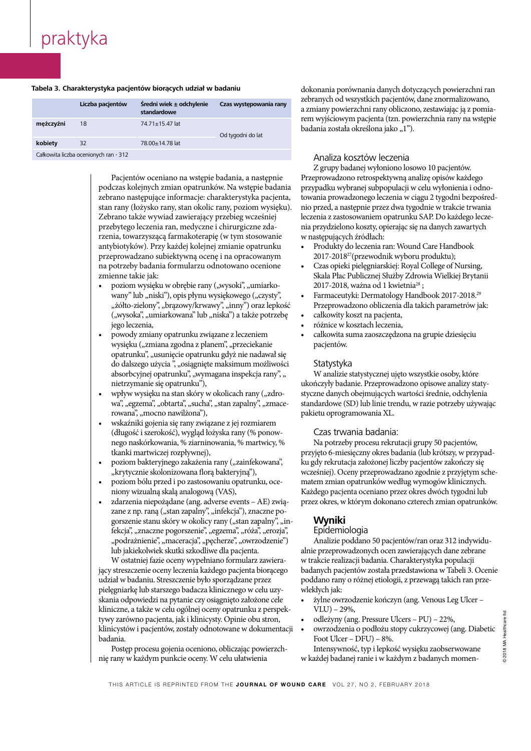#### Tabela 3. Charakterystyka pacjentów biorących udział w badaniu

|           | Liczba pacjentów                      | Średni wiek ± odchylenie<br>standardowe | Czas występowania rany | zebranych od wszystkich pacjentów,<br>a zmiany powierzchni rany obliczor<br>rem wyjściowym pacjenta (tzn. pow<br>badania została określona jako "1"). |
|-----------|---------------------------------------|-----------------------------------------|------------------------|-------------------------------------------------------------------------------------------------------------------------------------------------------|
| meżczyźni | 18                                    | 74.71±15.47 lat                         | Od tygodni do lat      |                                                                                                                                                       |
| kobiety   | 32                                    | 78.00±14.78 lat                         |                        |                                                                                                                                                       |
|           | Całkowita liczba ocenionych ran - 312 |                                         |                        | Analiza kosztów leczenia                                                                                                                              |

18 Ousey K, Atkin L, White R. Superabsorbent wound dressings: a

Healthcare Ltd, 2017

Healthcare Ltd, 2017

Pacjentów oceniano na wstępie badania, a następnie | podczas kolejnych zmian opatrunków. Na wstępie badania  $\parallel$  zebrano następujące informacje: charakterystyka pacjenta,  $\frac{1}{2}$  stan rany (łożysko rany, stan okolic ran | Zebrano także wywiad zawierający przebieg wcześniej przebytego leczenia ran, medyczne i chirurgiczne zda- $1<sup>10</sup>$ rzenia, towarzyszącą farmakoterapię (w tym stosowanie | antybiotyków). Przy każdej kolejnej zmianie opatrunku przeprowadzano subiektywną ocenę i na opracowanym  $\parallel$  na potrzeby badania formularzu odnotowano ocenione zmienne takie jak: **Zmienne** takie jak: zostane mies<sub>t</sub>ratyce misseninej e minimali popula<sub>r</sub> ratycem, ktera<br>stan rany (łożysko rany, stan okolic rany, poziom wysięku). 1110 j

- $\mathcal{L} = \left\{ \begin{array}{c} 2 & 0 & 0 \\ 0 & 2 & 0 \\ 0 & 0 & 1 \end{array} \right.$  $\bullet$  poziom wysięku w obrębie rany ("wysoki", "umiarkowany" lub "niski"), opis płynu wysiękowego ("czysty", "żółto-zielony", "brązowy/krwawy", "inny") oraz lepkość 10.1007/s10856-013-4990-6 ("wysoka", "umiarkowana" lub "niska") a także potrzebę w walkowity k iego leczenia, https://with dressing change frequency before the state frequency before the state frequency before the state frequency before the state frequency before the state frequency before the state frequency before
- doi.org/ 10.1111/j.1067-1927.2005.00065.x  $\sum_{n=1}^{\infty}$  Powoci  $\sum_{n=1}^{\infty}$  Chen Williams in the chronic legion wysięku ("zmiana zgodna z planem", "przeciekanie pacjentów. opatrunku", "usunięcie opatrunku gdyż nie nadawał się  $\frac{1}{1}$ do dalszego użycia ", "osiągnięte maksimum możliwości statystyka absorbcyjnej opatrunku", "wymagana inspekcja rany", " nietrzymanie się opatrunku"), • powody zmiany opatrunku związane z leczeniem
- $\quad \bullet \quad$  wpływ wysięku na stan skóry w okolicach rany ("zdrorowana", "mocno nawilżona"), wa", "egzema", "obtarta", "sucha", "stan zapalny", "zmace-
- (accessed 30 January 2018) (długość i szerokość), wygląd łożyska rany (% ponownego naskórkowania, % ziarninowania, % martwicy, % tkanki martwiczej rozpływnej),  $\bullet$  wskaźniki gojenia się rany związane z jej rozmiarem
- poziom bakteryjnego zakażenia rany ("zainfekowana", ku g "krytycznie skolonizowana florą bakteryjną"),
	- · poziom bólu przed i po zastosowaniu opatrunku, oceniony wizualną skalą analogową (VAS), mony wizuam
	- zdarzenia niepożądane (ang. adverse events AE) związane z np. raną ("stan zapalny", "infekcja"), znaczne pozane z n<sub>p</sub> ran<sub>g</sub> ("soan zapam"), "shakariga"), "hakazine pe fekcja", "znaczne pogorszenie", "egzema", "róża", "erozja", "podrażnienie", "maceracja", "pęcherze", "owrzodzenie") lub jakiekolwiek skutki szkodliwe dla pacjenta. 4 Serra R, Buffone G, Falcone D et al. Chronic venous leg ulcers are

W ostatniej fazie oceny wypełniano formularz zawierający streszczenie oceny leczenia każdego pacjenta biorącego udział w badaniu. Streszczenie było sporządzane przez pielęgniarkę lub starszego badacza klinicznego w celu uzyskania odpowiedzi na pytanie czy osiągnięto założone cele kliniczne, a także w celu ogólnej oceny opatrunku z perspektywy zarówno pacjenta, jak i klinicysty. Opinie obu stron, klinicystów i pacjentów, zostały odnotowane w dokumentacji badania. jący streszczenie oceny ieczenia kazuego pacje Reflective questions  $\sum_{i=1}^{\text{min}}$  $\alpha$  Matania.

Postęp procesu gojenia oceniono, obliczając powierzchnię rany w każdym punkcie oceny. W celu ułatwienia managing exudate.

the start of the start of the start of the start of the start of the start of the start of the start of the st  $\frac{1}{2}$ zebranych od wszystkich pacjentów, dane znormalizowano,<br> a zmiany powierzchni rany obliczono, zestawiając ją z pomia-**133 Schulze Harles Harles Hilane C, Charles H et al. Europe and interesence and intimate contact of wound exudate contact of wound external versus presence and interesence and interesence and interesence and interesence a** hydropolymer dressing badania została określona jako "1").

## Analiza kosztów leczenia

 $\sigma$   $\sim$   $\sigma$   $\sim$   $\sigma$   $\sim$   $\sigma$ . Recommendations for the second Z grupy badanej wyłoniono losowo 10 pacjentów. a, a następnie Przeprowadzono retrospektywną analizę opisów każdego wstępie badania – przypadku wybranej subpopulacji w celu wyłonienia i odnovstyka pacjenta, towania prowadzonego leczenia w ciągu 2 tygodni bezpośredoziom wysięku). nio przed, a następnie przez dwa tygodnie w trakcie trwania g wcześniej leczenia z zastosowaniem opatrunku SAP. Do każdego leczegiczne zda-nia przydzielono koszty, opierając się na danych zawartych m stosowanie w następujących źródłach:

- ie opatrunku Produkty do leczenia ran: Wound Care Handbook polymer dressing: a 53-patient clinical evaluation. J Wound Care 2009; 2017-201827(przewodnik wyboru produktu);
- no ocenione · Czas opieki pielęgniarskiej: Royal College of Nursing,  $\frac{620}{\text{N}} \cdot \frac{620}{\text{N}} \cdot \frac{620}{\text{N}} \cdot \frac{620}{\text{N}} \cdot \frac{620}{\text{N}} \cdot \frac{620}{\text{N}} \cdot \frac{1}{\text{N}}$ Skala Płac Publicznej Służby Zdrowia Wielkiej Brytanii i", "umiarko- $2017$ -2018, ważna od 1 kwietnia<sup>28</sup>;
- ego ("czysty", e Farmaceutyki: Dermatology Handbook 2017-2018.<sup>29</sup> leg ulcers measure wound pain status?: a pilot study. PLoS ONE 2016; y") oraz lepkość Przeprowadzono obliczenia dla takich parametrów jak:  $\bullet$  całkowity koszt na pacjenta,
	-
- różnice w kosztach leczenia, exteriem • całkowita suma zaoszczędzona na grupie dziesięciu pacjentów.

## Statystyka **found they were able to resume a semi-**

managing and preventing skin maceration: a rapid review of the clinical spekcja rany", "W analizie statystycznej ujęto wszystkie osoby, które h rany ("zdro- styczne danych obejmujących wartości średnie, odchylenia  $\overline{p}$  proteins on the chronic wound environment. Intervention  $\overline{p}$ palny", "zmace- standardowe (SD) lub linie trendu, w razie potrzeby używając pakietu oprogramowania XL. ukończyły badanie. Przeprowadzono opisowe analizy staty-

## Czas trwania badania:

 $\frac{1}{2}$  ( $\frac{1}{2}$  Ponon D, Thompson P et al. Observations of al. Observations of  $\frac{1}{2}$ % martwicy, % Na potrzeby procesu rekrutacji grupy 50 pacjentów, przyjęto 6-miesięczny okres badania (lub krótszy, w przypadku gdy rekrutacja założonej liczby pacjentów zakończy się wcześniej). Oceny przeprowadzano zgodnie z przyjętym schematem zmian opatrunków według wymogów klinicznych. Każdego pacjenta oceniano przez okres dwóch tygodni lub przez okres, w którym dokonano czterech zmian opatrunków.

#### tissues derived from chronic venous leg ulcers. Wound Repair Regentles and Repair Regentles and Repair Repair Re 2009; 17(6):832–839. https://doi.org/ 10.1111/j.1524-475X.2009.00547.x

#### Epidemiologia **Dividentialis UK Best Practice Statement.** Effective Statement

Analizie poddano 50 pacjentów/ran oraz 312 indywidualnie przeprowadzonych ocen zawierających dane zebrane w trakcie realizacji badania. Charakterystyka populacji badanych pacjentów została przedstawiona w Tabeli 3. Ocenie poddano rany o różnej etiologii, z przewagą takich ran przewlekłych jak: **wiekłych jak:** Adv Wound Care (New York)  $\frac{1}{2}$  statistical political of  $\frac{1}{2}$  of  $\frac{1}{2}$   $\frac{1}{2}$   $\frac{1}{2}$   $\frac{1}{2}$   $\frac{1}{2}$   $\frac{1}{2}$   $\frac{1}{2}$   $\frac{1}{2}$   $\frac{1}{2}$   $\frac{1}{2}$   $\frac{1}{2}$   $\frac{1}{2}$   $\frac{1}{2}$   $\frac{1}{2}$   $\frac{1}{2}$   $\frac{1}{2}$   $\frac{1}{2}$   $\frac$ badanyen pacjentów zt

- *żylne owrzodzenie kończyn (ang. Venous Leg Ulcer*  $VLU$ ) – 29%, • zyme owrzoazenie konczyn (ang. Venous Leg (
- odleżyny (ang. Pressure Ulcers PU) 22%,  $\bullet$  odiczyny (ang. Fressure Orces TO)  $22/0$ ,
- owrzodzenia o podłożu stopy cukrzycowej (ang. Diabetic Foot Ulcer –  $DFU$ ) –  $8\%$ .

Intensywność, typ i lepkość wysięku zaobserwowane w każdej badanej ranie i w każdym z badanych momen-1111ensywnose, typ i iepro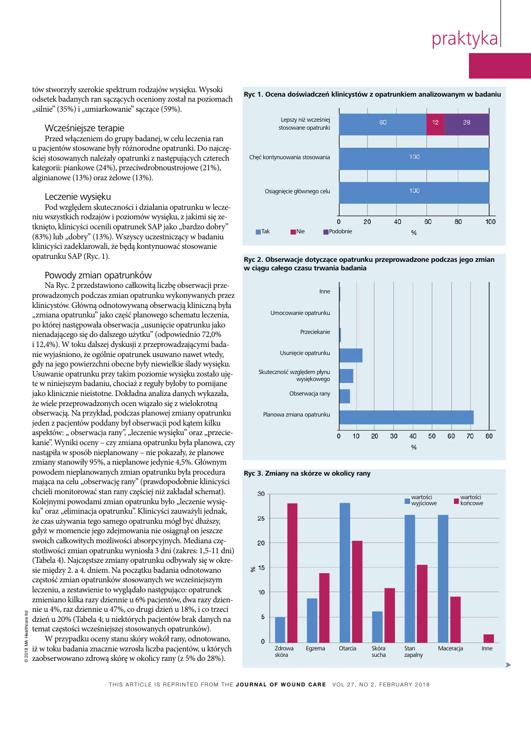tów stworzyły szerokie spektrum rodzajów wysięku. Wysoki  $\frac{1}{2}$ odsetek badanych ran sączących oceniony został na poziomach "silnie" (35%) i "umiarkowanie" sączące (59%).

#### $M_{\text{C}}$ Wcześniejsze terapie

Przed włączeniem do grupy badanej, w celu leczenia ran u pacjentów stosowane były różnorodne opatrunki. Do najczępacjemow stosowane opij roznorodne oparama, Bo na ściej stosowanych należały opatrunki z następujących czterech kategorii: piankowe (24%), przeciwdrobnoustrojowe (21%), alginianowe (13%) oraz żelowe (13%).

#### Leczenie wysięku

Pod względem skuteczności i działania opatrunku w leczeniu wszystkich rodzajów i poziomów wysięku, z jakimi się zetknięto, klinicyści ocenili opatrunek SAP jako "bardzo dobry"  $\frac{1}{2}$ (83%) lub "dobry" (13%). Wszyscy uczestniczący w badaniu klinicyści zadeklarowali, że będą kontynuować stosowanie  $\text{normal}_{\text{rel}}(3,0)$ opatrunku SAP (Ryc. 1).

#### Powody zmian opatrunków

 $\sum_{i=1}^{n}$ Na Ryc. 2 przedstawiono całkowitą liczbę obserwacji przeprowadzonych podczas zmian opatrunku wykonywanych przez inicystów, Cłówną odnotowawaną obserwacią kliniczną b klinicystów. Główną odnotowywaną obserwacją kliniczną była "zmiana opatrunku" jako część planowego schematu leczenia, po której następowała obserwacja "usunięcie opatrunku jako  $d$ nienadającego się do dalszego użytku" (odpowiednio 72,0% i 12,4%). W toku dalszej dyskusji z przeprowadzającymi badanie wyjaśniono, że ogólnie opatrunek usuwano nawet wtedy,  $\frac{1}{1}$ gdy na jego powierzchni obecne były niewielkie ślady wysięku. Usuwanie opatrunku przy takim poziomie wysięku zostało uję- $\frac{1}{2}$  is ninjajezym badanju, chociaż z reguly byłoby to nomii te w niniejszym badaniu, chociaż z reguły byłoby to pomijane jako klinicznie nieistotne. Dokładna analiza danych wykazała, że wiele przeprowadzonych ocen wiązało się z wielokrotną obserwacją. Na przykład, podczas planowej zmiany opatrunku jeden z pacjentów poddany był obserwacji pod kątem kilku aspektów: "obserwacja rany", "leczenie wysięku" oraz "przecie- $\frac{1}{1}$   $\frac{1}{2}$   $\frac{1}{2}$   $\frac{1}{2}$   $\frac{1}{2}$   $\frac{1}{2}$   $\frac{1}{2}$   $\frac{1}{2}$ kanie". Wyniki oceny – czy zmiana opatrunku była planowa, czy nastąpiła w sposób nieplanowany – nie pokazały, że planowe zmiany stanowiły 95%, a nieplanowe jedynie 4,5%. Głównym powodem nieplanowanych zmian opatrunku była procedura mająca na celu "obserwację rany" (prawdopodobnie klinicyści chcieli monitorować stan rany częściej niż zakładał schemat). Kolejnymi powodami zmian opatrunku było "leczenie wysięku" oraz "eliminacja opatrunku". Klinicyści zauważyli jednak, że czas używania tego samego opatrunku mógł być dłuższy, gdyż w momencie jego zdejmowania nie osiągnął on jeszcze swoich całkowitych możliwości absorpcyjnych. Mediana częstotliwości zmian opatrunku wyniosła 3 dni (zakres: 1,5-11 dni) (Tabela 4). Najczęstsze zmiany opatrunku odbywały się w okresie między 2. a 4. dniem. Na początku badania odnotowano częstość zmian opatrunków stosowanych we wcześniejszym leczeniu, a zestawienie to wyglądało następująco: opatrunek zmieniano kilka razy dziennie u 6% pacjentów, dwa razy dziennie u 4%, raz dziennie u 47%, co drugi dzień u 18%, i co trzeci dzień u 20% (Tabela 4; u niektórych pacjentów brak danych na temat częstości wcześniejszej stosowanych opatrunków). © 2018 MA Healthcare **Ryc 1. Ocena doświadczeń klinicystów z opatrunkiem analizowanym w badaniu** 

W przypadku oceny stanu skóry wokół rany, odnotowano, iż w toku badania znacznie wzrosła liczba pacjentów, u których zaobserwowano zdrową skórę w okolicy rany (z 5% do 28%).



#### polymer dressing: a 53-patient clinical evaluation. J Wound Care 2009; 18(5):200–205. https://doi.org/ 10.12968/jowc.2009.18.5.42174 **Ryc 2. Obserwacje dotyczące opatrunku przeprowadzone podczas jego zmian**  w ciągu całego czasu trwania badania







THIS ARTICLE IS REPRINTED FROM THE JOURNAL OF WOUND CARE VOL 27, NO 2, FEBRUARY 2018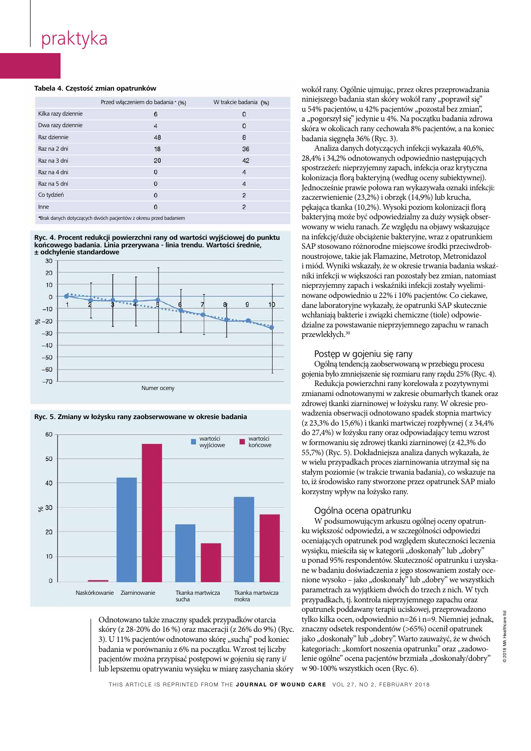#### **Tabela 4. Częstość zmian opatrunków wound exuses and their effect on the set on the set on the set on the set o**

|                     | Przed włączeniem do badania* (%) | W trakcie badania (%)   |
|---------------------|----------------------------------|-------------------------|
|                     |                                  |                         |
| Kilka razy dziennie | 6                                | $\bf{0}$                |
| Dwa razy dziennie   | $\overline{4}$                   | $\mathbf 0$             |
| Raz dziennie        | 48                               | 8                       |
| Raz na 2 dni        | 18                               | 36                      |
| Raz na 3 dni        | 20                               | 42                      |
| Raz na 4 dni        | 0                                | $\overline{4}$          |
| Raz na 5 dni        | $\mathbf{0}$                     | 4                       |
| Co tydzień          | $\mathbf{0}$                     | $\overline{2}$          |
| Inne                | 0                                | $\overline{\mathbf{c}}$ |
|                     |                                  |                         |

\*Brak danych dotyczących dwóch pacjentów z okresu przed badaniem

Ryc. 4. Procent redukcji powierzchni rany od wartości wyjściowej do punktu końcowego badania. Linia przerywana - linia trendu. Wartości średnie,<br><u>) adaty</u> in view danienie  $\pm$  odchylenie standardowe the control  $\pm$ 







Odnotowano także znaczny spadek przypadków otarcia skóry (z 28-20% do 16 %) oraz maceracji (z 26% do 9%) (Ryc.  $|$  3). U 11% pacjentów odnotowano skórę "suchą" pod koniec badania w porównaniu z 6% na początku. Wzrost tej liczby pacjentów można przypisać postępowi w gojeniu się rany i/ lub lepszemu opatrywaniu wysięku w miarę zasychania skóry  $\frac{\partial f}{\partial x}$  O to 20<sup>-20</sup>/0 do 10<sup>-70</sup>/0 data ma managing exudate.

wokół rany. Ogólnie ujmując, przez okres przeprowadzania <sub>padania</sub> (%) miniejszego badania stan skóry wokół rany "poprawił się"  $\frac{1}{2}$ adania (%)  $\frac{1}{2}$   $\frac{1}{2}$   $\frac{1}{2}$   $\frac{1}{2}$   $\frac{1}{2}$   $\frac{1}{2}$   $\frac{1}{2}$   $\frac{1}{2}$   $\frac{1}{2}$   $\frac{1}{2}$   $\frac{1}{2}$   $\frac{1}{2}$   $\frac{1}{2}$   $\frac{1}{2}$   $\frac{1}{2}$   $\frac{1}{2}$   $\frac{1}{2}$   $\frac{1}{2}$   $\frac{1}{2}$   $\frac{1}{2}$  n u 54% pacjentów, u 42% pacjentów "pozostał bez zmian", a "pogorszył się" jedynie u 4%. Na początku badania zdrowa with the period skóra w okolicach rany cechowała 8% pacjentów, a na koniec w  $2^{1}$ , 1, 1, 1, 1, 1, 2/0/(D, 2) 8 badania sięgnęła 36% (Ryc. 3).

36 Microorganisms 2017; 5(1):pii:E9. https://doi.org/2017; 5(1):E9. html are likely to the likely to the likely to the likely to the likely to the likely to the likely to the likely to the likely to the likely to the likel  $\frac{1}{3}$   $\frac{1}{3}$   $\frac{1}{3}$   $\frac{1}{3}$   $\frac{1}{3}$   $\frac{1}{3}$   $\frac{1}{3}$   $\frac{1}{3}$   $\frac{1}{3}$   $\frac{1}{3}$   $\frac{1}{3}$   $\frac{1}{3}$   $\frac{1}{3}$   $\frac{1}{3}$   $\frac{1}{3}$   $\frac{1}{3}$   $\frac{1}{3}$   $\frac{1}{3}$   $\frac{1}{3}$   $\frac{1}{3}$   $\frac{1}{3}$   $\frac{1}{3}$  spostrzeżeń: nieprzyjemny zapach, infekcja oraz krytyczna <br/>4 kolonizacja florą bakteryjną (według oceny subiektywnej). 38 Snyder Bohn G, Hanft Jednocześnie prawie połowa ran wykazywała oznaki infekcji: 2 zaczerwienienie (23,2%) i obrzęk (14,9%) lub krucha, 2 Pękająca tkanka (10,2%). Wysoki poziom kolonizacji florą bakteryjną może być odpowiedzialny za duży wysięk obserwowany w wielu ranach. Ze względu na objawy wskazujące ej do punktu ana infekcję/duże obciążenie bakteryjne, wraz z opatrunkiem rednie, SAP stosowano różnorodne miejscowe środki przeciwdrobnoustrojowe, takie jak Flamazine, Metrotop, Metronidazol  $\frac{1}{2}$  imidd Wyniki welcaaku go wolc e-Asia d, Coulòmbia i miód. Wyniki wskazały, że w okresie trwania badania wskaźniki infekcji w większości ran pozostały bez zmian, natomiast relating to misis management in all of the management in all of the management in all of the management in all o nowane odpowiednio u 22% i 10% pacjentów. Co ciekawe, leg ulcers measure wound pain status?:  $\frac{1}{2}$ 9 10.11212 dane laboratoryjne wykazały, że opatrunki SAP skutecznie wchłaniają bakterie i związki chemiczne (tiole) odpowiedzialne za powstawanie nieprzyjemnego zapachu w ranach przewlekłych.<sup>30</sup> 28,4% i 34,2% odnotowanych odpowiednio następujących

#### emedia internet Postęp w gojeniu się rany

**Example 15 Whitehead F, Graham T, Graham T, Graham T, Graham T, Graham T, Graham T, Graham T, Graham T** managing and preventing skin matrix  $\mathcal{L}$  rapid review of the clinical review of the clinical review of the clinical review of the clinical review of the clinical review of the clinical review of the clinical review of  $\pm$  gojenia było zmniejszenie się rozmiaru rany rzędu 25% (Ryc. 4).

zmianami odnotowanymi w zakresie obumarłych tkanek oraz of proteases on the chronic wound environment. Int J Low Extrem zdrowej tkanki ziarninowej w łożysku rany. W okresie prohia wadzenia obserwacji odnotowano spadek stopnia martwicy their evaluation. J Wound Care 23,3% do 15,6%) i tkanki martwiczej rozpływnej ( z 34,4% do 27,4%) w łożysku rany oraz odpowiadający temu wzrost  $\frac{48}{27}$  Wartości  $\frac{2}{7}$  $\frac{1}{2}$  końcowe w formowaniu się zdrowej tkanki ziarninowej (z 42,3% do  $\frac{1}{2}$ Adv Skin Wound Care 2013; 26(2):62–66. https://doi.org/ 10.1097/01. 55,7%) (Ryc. 5). Dokładniejsza analiza danych wykazała, że w wielu przypadkach proces ziarninowania utrzymał się na Redukcja powierzchni rany korelowała z pozytywnymi stałym poziomie (w trakcie trwania badania), co wskazuje na to, iż środowisko rany stworzone przez opatrunek SAP miało korzystny wpływ na łożysko rany.

### Ogólna ocena opatrunku

Systim Seenia opatranica<br>W podsumowującym arkuszu ogólnej oceny opatrunku większość odpowiedzi, a w szczególności odpowiedzi oceniających opatrunek pod względem skuteczności leczenia wysięku, mieściła się w kategorii "doskonały" lub "dobry" u ponad 95% respondentów. Skuteczność opatrunku i uzyskane w badaniu doświadczenia z jego stosowaniem zostały ocenione wysoko – jako "doskonały" lub "dobry" we wszystkich parametrach za wyjątkiem dwóch do trzech z nich. W tych przypadkach, tj. kontrola nieprzyjemnego zapachu oraz opatrunek poddawany terapii uciskowej, przeprowadzono tylko kilka ocen, odpowiednio n=26 i n=9. Niemniej jednak, znaczny odsetek respondentów (>65%) ocenił opatrunek jako "doskonały" lub "dobry". Warto zauważyć, że w dwóch kategoriach: "komfort noszenia opatrunku" oraz "zadowolenie ogólne" ocena pacjentów brzmiała "doskonały/dobry" w 90-100% wszystkich ocen (Ryc. 6). w poasumowującym arkuszu ogoinej oceny opatrunstatements/best-processed-statement-exudencere w badamu doswiad purumentum zu wyjąmem uwoch to trzech z me  $130$  Kiko Kika Ocen,  $\sigma$  rosen  $\sigma$  and  $\sigma$   $\sigma$   $\sigma$   $\sigma$   $\sigma$   $\sigma$   $\sigma$ kategoriach: "konnort nosze

THIS ARTICLE IS REPRINTED FROM THE JOURNAL OF WOUND CARE VOL 27, NO 2, FEBRUARY 2018 THIS ARTICLE IS REPRINTED FROM THE JOURNAL OF WOUND CARE VOL 27, NO 2, FEBRUARY 2018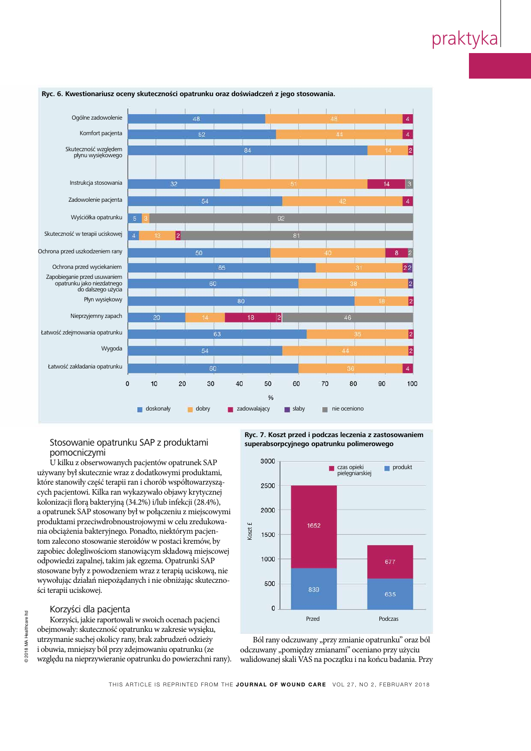

#### functional properties of superabsorbent dressings and their effect on Ryc. 6. Kwestionariusz oceny skuteczności opatrunku oraz doświadczeń z jego stoso

#### $C_{\text{H}}$  and  $C_{\text{H}}$ Stosowanie opatrunku SAP z produktami Laboratories, SciTec Daresbury, Keckwick Lane, Cheshire, WA4 4AD pomocniczymi

U kilku z obserwowanych pacjentów opatrunek SAP używany był skutecznie wraz z dodatkowymi produktami, które stanowiły część terapii ran i chorób współtowarzyszących pacjentowi. Kilka ran wykazywało objawy krytycznej kolonizacji florą bakteryjną (34.2%) i/lub infekcji (28.4%), a opatrunek SAP stosowany był w połączeniu z miejscowymi produktami przeciwdrobnoustrojowymi w celu zredukowania obciążenia bakteryjnego. Ponadto, niektórym pacjentom zalecono stosowanie steroidów w postaci kremów, by zapobiec dolegliwościom stanowiącym składową miejscowej odpowiedzi zapalnej, takim jak egzema. Opatrunki SAP stosowane były z powodzeniem wraz z terapią uciskową, nie wywołując działań niepożądanych i nie obniżając skuteczności terapii uciskowej.

#### Korzyści dla pacjenta

Korzyści, jakie raportowali w swoich ocenach pacjenci obejmowały: skuteczność opatrunku w zakresie wysięku, utrzymanie suchej okolicy rany, brak zabrudzeń odzieży i obuwia, mniejszy ból przy zdejmowaniu opatrunku (ze względu na nieprzywieranie opatrunku do powierzchni rany). 10.12968/jowc.2016.25.1.46 **Ryc. 7. Koszt przed i podczas leczenia z zastosowaniem** superabsorpcyjnego opatrunku polimerowego **parison of treatments. I** 

![](_page_6_Figure_8.jpeg)

Ból rany odczuwany "przy zmianie opatrunku" oraz ból odczuwany "pomiędzy zmianami" oceniano przy użyciu walidowanej skali VAS na początku i na końcu badania. Przy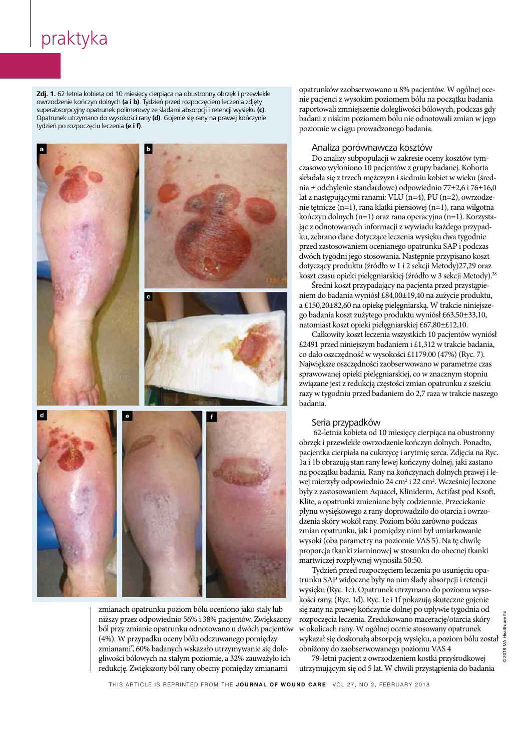functional properties of superabsorbent dressings and their effect on **Zdj. 1.** 62-letnia kobieta od 10 miesięcy cierpiąca na obustronny obrzęk i przewlekłe owrzodzenie kończyn dolnych **(a i b)**. Tydzień przed rozpoczęciem leczenia zdjęty superabsorpcyjny opatrunek polimerowy ze śladami absorpcji i retencji wysięku **(c)**. Opatrunek utrzymano do wysokości rany **(d)**. Gojenie się rany na prawej kończynie wolzień no roznoczeciu leczenia  $\mathbf{e}$  i fl tydzień po rozpoczęciu leczenia **(e i f)**.

![](_page_7_Picture_2.jpeg)

zmianach opatrunku poziom bólu oceniono jako stały lub niższy przez odpowiednio 56% i 38% pacjentów. Zwiększony ból przy zmianie opatrunku odnotowano u dwóch pacjentów oor przy zmianie oparamka odnotowano a awoch pacjer<br>
(4%). W przypadku oceny bólu odczuwanego pomiędzy zmianami", 60% badanych wskazało utrzymywanie się dolegliwości bólowych na stałym poziomie, a 32% zauważyło ich redukcję. Zwiększony ból rany obecny pomiędzy zmianami Reflective questions  $\vert$  (4%). W przypadku oceny bolu odczuwanego pormęc managing exudate.

przewiekie opatrunków zaobserwowano u 8% pacjentów. W ogólnej oceprzewiekie nie pacjenci z wysokim poziomem bólu na początku badania in takie poziomem bólu na początku badania ysięku (c). These conditions conditions conditions conditions can generally be attended to a generally be attended to a generally be attended to attribute to a general state. These conditions can generally be a general sta <sup>kończynie</sup> kadani z niskim poziomem bólu nie odnotowali zmian w jego poziomie w ciągu prowadzonego badania.

#### and Ros, and Ros, and Ros, which are likely to cause damage to the likely to the likely to cause damage to the

 $\frac{1}{25}$   $\frac{1}{25}$   $\frac{1}{25}$   $\frac{1}{25}$   $\frac{1}{25}$   $\frac{1}{25}$   $\frac{1}{25}$   $\frac{1}{25}$   $\frac{1}{25}$   $\frac{1}{25}$   $\frac{1}{25}$   $\frac{1}{25}$   $\frac{1}{25}$   $\frac{1}{25}$   $\frac{1}{25}$   $\frac{1}{25}$   $\frac{1}{25}$   $\frac{1}{25}$   $\frac{1}{25}$   $\frac{1}{25}$  czasowo wyłoniono 10 pacjentów z grupy badanej. Kohorta z z trzech mężczyzn i siedmiu kobiet w wieku (średnia ± odchylenie standardowe) odpowiednio 77±2,6 i 76±16,0 lat z następującymi ranami: VLU (n=4), PU (n=2), owrzodzenie tętnicze (n=1), rana klatki piersiowej (n=1), rana wilgotna kończyn dolnych (n=1) oraz rana operacyjna (n=1). Korzystaas it has been demonstrated by a codnotowanych informacji z wywiadu każdego przypadku, zebrano dane dotyczące leczenia wysięku dwa tygodnie **determinant exudate using a super-absorbent a super-absorbent and supporting a supporting healing.484 i podczas** polymer dressing: a 53-patient clinical evaluation. J Wound Care 2009; a 53-patient clinical evaluation. J Wound Care 2009; a 53-patient clinical evaluation control evaluation. J Wound Care 2009; a 54-patient clinical eval dotyczący produktu (źródło w 1 i 2 sekcji Metody)27,29 oraz  $\frac{400 \text{ years}}{1000 \text{ years}}$ koszt czasu opieki pielęgniarskiej (źródło w 3 sekcji Metody).<sup>28</sup> Do analizy subpopulacji w zakresie oceny kosztów tym-

**Eredni koszt przypadający na pacjenta przed przystąpie-Nakagami Goto T, Tamai N, Nakagami G et al. Can wound extendier from venous undertaken in this study and underlines underlines under the underlines under the underlines under the underlines under the underlines underlines** leg ulcers measure wound pain status?:  $\frac{1}{2}$ a £150,20±82,60 na opiekę pielęgniarską. W trakcie niniejszea Bartmann internal report zużytego produktu wyniósł £63,50±33,10, supported healing, reduced damage to period natomiast koszt opieki pielęgniarskiej £67,80±£12,10.

Całkowity koszt leczenia wszystkich 10 pacjentów wyniósł **E2491 przed niniejszym badaniem i £1,312 w trakcie badania,** *i*el co dało oszczędność w wysokości £1179.00 (47%) (Ryc. 7). Kajwiększe oszczędności zaobserwowano w parametrze czas managing and preventing skin maceration: a rapid review of the clinical review of the clinical review of the c sprawowanej opieki pielęgniarskiej, co w znacznym stopniu  $\frac{1}{2}$  ray w tygodniu przed badaniem do 2.7 r razy w tygodniu przed badaniem do 2,7 raza w trakcie naszego badaniem do 2,7 raza w trakcie naszego  $\blacksquare$  Daudina, związane jest z redukcją częstości zmian opatrunku z sześciu badania. Communist treatments, the SAP dressing was seen to see that the SAP dressing was seen to see that the SAP dressing was seen to the SAP dressing was seen to the SAP dressing was seen to the SAP dressing was seen to

#### and their evaluation. Seria przypadków sprzesing w sprzesing w sprzesing w sprzesing w sprzesing w sprzesing w

 $\frac{34}{4}$  Hunter Rooten on To Through obrzęk i przewlekłe owrzodzenie kończyn dolnych. Ponadto, **Educare 2013; 26 pacjentka cierpiała na cukrzycę i arytmię serca. Zdjęcia na Ryc.** ASW.0000426714.57540.c4 1a i 1b obrazują stan rany lewej kończyny dolnej, jaki zastano 62-letnia kobieta od 10 miesięcy cierpiąca na obustronny na początku badania. Rany na kończynach dolnych prawej i lewej mierzyły odpowiednio 24 cm<sup>2</sup> i 22 cm<sup>2</sup>. Wcześniej leczone były z zastosowaniem Aquacel, Kliniderm, Actifast pod Ksoft, Klite, a opatrunki zmieniane były codziennie. Przeciekanie płynu wysiękowego z rany doprowadziło do otarcia i owrzodzenia skóry wokół rany. Poziom bólu zarówno podczas tissues derived from chronic venous leg ulcers. Wound Repair Regen zmian opatrunku, jak i pomiędzy nimi był umiarkowanie wysoki (oba parametry na poziomie VAS 5). Na tę chwilę proporcja tkanki ziarninowej w stosunku do obecnej tkanki martwiczej rozpływnej wynosiła 50:50. azenia skory wokoł rany. Poziom bolu zarowno podczas  $\frac{1}{2}$  soki (bea parametry na pozionile-v/lo-9). That  $\sqrt{2}$  entring

Tydzień przed rozpoczęciem leczenia po usunięciu opatrunku SAP widoczne były na nim ślady absorpcji i retencji<br>wysięku (Pyc. 1c), Opatrunek utrzymano do poziomu wyso wysięku (Ryc. 1c). Opatrunek utrzymano do poziomu wysokości rany. (Ryc. 1d). Ryc. 1e i 1f pokazują skuteczne gojenie się rany na prawej kończynie dolnej po upływie tygodnia od rozpoczęcia leczenia. Zredukowano macerację/otarcia skóry w okolicach rany. W ogólnej ocenie stosowany opatrunek wykazał się doskonałą absorpcją wysięku, a poziom bólu został performancja poziomu VAS 4 1 yuzien przeu rozp 10 Epoczęcia recenna. Zregarówano macerację/otarcia s 10.112011y do zaodsei wowane

79-letni pacjent z owrzodzeniem kostki przyśrodkowej utrzymującym się od 5 lat. W chwili przystąpienia do badania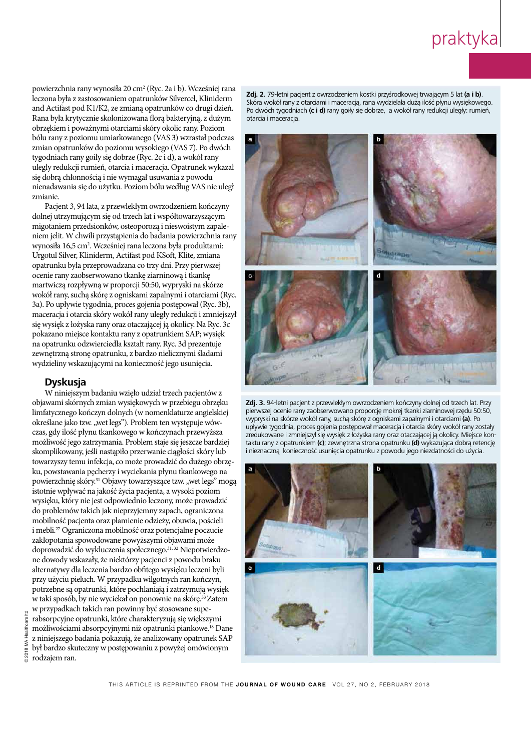powierzchnia rany wynosiła 20 cm<sup>2</sup> (Ryc. 2a i b). Wcześniej rana leczona była z zastosowaniem opatrunków Silvercel, Kliniderm  $\frac{1}{2}$ and Actifast pod K1/K2, ze zmianą opatrunków co drugi dzień. Rana była krytycznie skolonizowana florą bakteryjną, z dużym wound Care Manage Reserve Res 2015; 2:101–1111–1111–1111–1111–111. https://doi.org/<br>2015; 2:101–111. https://doi.org/10.2147/2015; 2:101–111. https://doi.org/10.2147 obrzękiem i poważnymi otarciami skóry okolic rany. Poziom bólu rany z poziomu umiarkowanego (VAS 3) wzrastał podczas zmian opatrunków do poziomu wysokiego (VAS 7). Po dwóch  $2^{2}$  ( $2^{2}$ ):  $2^{2}$  ( $2^{2}$ ):  $2^{2}$  ( $2^{2}$ ):  $2^{2}$  ( $2^{2}$ ):  $2^{2}$  ( $2^{2}$ ):  $2^{2}$  ( $2^{2}$ ):  $2^{2}$ tygodniach rany goiły się dobrze (Ryc. 2c i d), a wokół rany uległy redukcji rumień, otarcia i maceracja. Opatrunek wykazał się dobrą chłonnością i nie wymagał usuwania z powodu nienadawania się do użytku. Poziom bólu według VAS nie uległ zmianie.

Pacjent 3, 94 lata, z przewlekłym owrzodzeniem kończyny dolnej utrzymującym się od trzech lat i współtowarzyszącym migotaniem przedsionków, osteoporozą i nieswoistym zapale- $\frac{1}{100}$  since  $\frac{1}{100}$ niem jelit. W chwili przystąpienia do badania powierzchnia rany wynosiła 16,5 cm<sup>2</sup>. Wcześniej rana leczona była produktami: wound Cityor Vlinidarm, Actifort nod VSoft Vlito.org Urgotul Silver, Kliniderm, Actifast pod KSoft, Klite, zmiana opatrunku była przeprowadzana co trzy dni. Przy pierwszej ocenie rany zaobserwowano tkankę ziarninową i tkankę  $\sim$  2015; 24 (5):204–210. https://doi.org/ 10.12968/joyce.2015.24.5.24.5.20468/joyce.2015.24.5.204.5.204.5.204.5.204.5.204.5.204.5.204.5.204.5.204.5.204.5.204.5.204.5.204.5.204.5.204.5.204.5.204.5.204.5.204.5.204.5.204.5 martwiczą rozpływną w proporcji 50:50, wypryski na skórze wokół rany, suchą skórę z ogniskami zapalnymi i otarciami (Ryc. 3a). Po upływie tygodnia, proces gojenia postępował (Ryc. 3b),  $\frac{1}{100}$ maceracja i otarcia skóry wokół rany uległy redukcji i zmniejszył się wysięk z łożyska rany oraz otaczającej ją okolicy. Na Ryc. 3c doi.<br>Organo miejsce kontaktu rany z ops pokazano miejsce kontaktu rany z opatrunkiem SAP; wysięk na opatrunku odzwierciedla kształt rany. Ryc. 3d prezentuje zewnętrzną stronę opatrunku, z bardzo nielicznymi śladami .<br>10.11.11.11.11.12.11.12.11.12.11.12.11.12.11.12.11.12.11.12.11.12.1 wydzieliny wskazującymi na konieczność jego usunięcia.

#### subjects. JAMA 2013; 310(20):2191–2194. https://doi.org/ 10.1001/ **Dyskusja**   $\frac{1}{2}$

W niniejszym badaniu wzięło udział trzech pacjentów z objawami skórnych zmian wysiękowych w przebiegu obrzęku limfatycznego kończyn dolnych (w nomenklaturze angielskiej określane jako tzw. "wet legs"). Problem ten występuje wówczas, gdy ilość płynu tkankowego w kończynach przewyższa .<br>طبیعی محمد : 44 میں 2017ء ، możliwość jego zatrzymania. Problem staje się jeszcze bardziej skomplikowany, jeśli nastąpiło przerwanie ciągłości skóry lub towarzyszy temu infekcja, co może prowadzić do dużego obrzęku, powstawania pęcherzy i wyciekania płynu tkankowego na powierzchnię skóry.<sup>31</sup> Objawy towarzyszące tzw. "wet legs" mogą istotnie wpływać na jakość życia pacjenta, a wysoki poziom wysięku, który nie jest odpowiednio leczony, może prowadzić do problemów takich jak nieprzyjemny zapach, ograniczona mobilność pacjenta oraz plamienie odzieży, obuwia, pościeli i mebli.27 Ograniczona mobilność oraz potencjalne poczucie zakłopotania spowodowane powyższymi objawami może doprowadzić do wykluczenia społecznego.31, 32 Niepotwierdzone dowody wskazały, że niektórzy pacjenci z powodu braku alternatywy dla leczenia bardzo obfitego wysięku leczeni byli przy użyciu pieluch. W przypadku wilgotnych ran kończyn, potrzebne są opatrunki, które pochłaniają i zatrzymują wysięk w taki sposób, by nie wyciekał on ponownie na skórę.33 Zatem w przypadkach takich ran powinny być stosowane superabsorpcyjne opatrunki, które charakteryzują się większymi możliwościami absorpcyjnymi niż opatrunki piankowe.18 Dane z niniejszego badania pokazują, że analizowany opatrunek SAP był bardzo skuteczny w postępowaniu z powyżej omówionym rodzajem ran.

Essentials 2015;10(1):30–34. **Zaj. 2.** 79-letni pacjent z owrzodzeniem kostki przysrodkowej tr Skóra wokół rany z otarciami i maceracją, rana wydzielała dużą ilość płynu wysiękowego. Po dwóch tygodniach **(c i d)** rany goiły się dobrze, a wokół rany redukcji uległy: rumień, 33 Schulze HJ, Lane C, Charles H et al. Evaluating a superabsorbent otarcia i maceracja.

![](_page_8_Figure_6.jpeg)

**Zdj. 3.** 94-letni pacjent z przewlekłym owrzodzeniem kończyny dolnej od trzech lat. Przy Wounds 2009; 8(1):19–27. https://doi.org/ 10.1177/1534734609331596 pierwszej ocenie rany zaobserwowano proporcję mokrej tkanki ziarninowej rzędu 50:50, pic insect occurs for y zaobscribbind proporcy frion cy and in the wypryski na skórze wokół rany, suchą skórę z ogniskami zapalnymi i otarciami **(a)**. Po upływie tygodnia, proces gojenia postępował maceracja i otarcia skóry wokół rany zostały zredukowane i zmniejszył się wysięk z łożyska rany oraz otaczającej ją okolicy. Miejsce kontaktu rany z opatrunkiem **(c)**; zewnętrzna strona opatrunku **(d)** wykazująca dobrą retencję i nieznaczną konieczność usunięcia opatrunku z powodu jego niezdatności do użycia.

![](_page_8_Picture_8.jpeg)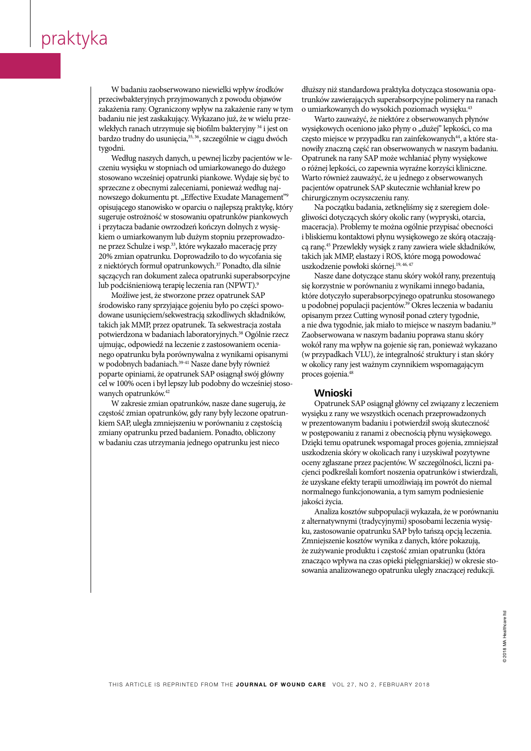Healthcare Ltd, 2017

Healthcare Ltd, 2017

Laboratories, SciTec Daresbury, Keckwick Lane, Cheshire, WA4 4AD 31 Whayman N. The causes and treatment of wet weeping legs. Wound

| W badaniu zaobserwowano niewielki wpływ środków dłuż  $\frac{1}{\sqrt{2}}$ przeciwbakteryjnych przyjmowanych z powodu objawów zakażenia rany. Ograniczony wpływ na zakażenie rany w tym  $\;$ o umiarkow | badaniu nie jest zaskakujący. Wykazano już, że w wielu przewlekłych ranach utrzymuje się biofilm bakteryjny <sup>34</sup> i jest on  $\parallel$  bardzo trudny do usunięcia, $^{35, 36}$ , szczególnie w ciągu dwóch tygodni.  $1$  $\frac{20}{30}$ 

Według naszych danych, u pewnej liczby pacjentów w le- $\mid$   $\,$  czeniu wysięku w stopniach od umiarkowanego do dużego stosowano wcześniej opatrunki piankowe. Wydaje się być to  $|$  sprzeczne z obecnymi zaleceniami, ponieważ według najnowszego dokumentu pt. "Effective Exudate Management"<sup>9</sup>  $\log$  opisującego stanowisko w oparciu o naj  $\parallel$  sugeruje ostrożność w stosowaniu opatrunków piankowych  $\parallel$  gliwości dotycz i przytacza badanie owrzodzeń kończyn dolnych z wysię-10.1007/s1007/s10856-011-12423-3<br>10.1007/s10856-011-12423-3 kiem o umiarkowanym lub dużym stopniu przeprowadzone przez Schulze i wsp. $^{33}$ , które wykazało macerację przy 20% zmian opatrunku. Doprowadziło to do wycofania się  $|$  z niektórych formuł opatrunkowych.<sup>37</sup> Ponadto, dla silnie  $\mid$  sączących ran dokument zaleca opatrunki superabsorpcyjne  $\frac{20}{1.1}$ ; 24(5):204–210. https://doi.org/ 10.12968/joyce.2015.2015.2015.2015.2015.24.5.2015.24.5.204.5.204.5.204.5.204.5.204.5.204.5.204.5.204.5.204.5.204.5.204.5.204.5.204.5.204.5.204.5.204.5.204.5.204.5.204.5.204.5.  $\parallel~$  lub podciśnieniową terapię leczenia ran (NPWT). $^9$ words 2017; 2017; 2017; 2017; 2017; 2017; 2017; 2017; 2017; 2017; 2017; 2017; 2017<br>opisującego stanowisko w oparciu o najlepszą praktykę, który

Możliwe jest, że stworzone przez opatrunek SAP srodowisko rany sprzyjające gojeniu było po części spowo- $\frac{1}{10}$  $\parallel$  dowane usunięciem/sekwestracją szkodliwych składników,  $\parallel$  takich jak MMP, przez opatrunek. Ta sekwestracja została  $\frac{1}{2}$  10.111.1067-1927.2005.  $\sim$  Polyncruzona w Dauamach insorator  $y_{j1}$ ujmując, odpowiedź na leczenie z zastosowaniem ocenia- $\parallel~$ nego opatrunku była porównywalna z wynikami opisanymi  $\sigma$ <sup>1</sup> w podobnych badaniach. $39-41$  Nasze dane były również  $|$  poparte opiniami, że opatrunek SAP osiągnął swój główny cel w 100% ocen i był lepszy lub podobny do wcześniej stosowanych opatrunków.<sup>42</sup> potwierdzona w badaniach laboratoryjnych.<sup>38</sup> Ogólnie rzecz **16 Rayment Earthalter Culpris: a review of the influences of the influences and influences and influences and influences and influences and influences and influences and influences and influences and influences and influe** 

częstość zmian opatrunków, gdy rany były leczone opatrun- $\parallel$ kiem SAP, uległa zmniejszeniu w porównaniu z częstością zmiany opatrunku przed badaniem. Ponadto, obliczony w patrunku przed badaniem. Ponadto, obliczony w badaniu czas utrzymania jednego opatrunku jest nieco W zakresie zmian opatrunków, nasze dane sugerują, że

 $\frac{1}{2}$ odu objawów trunków zawierających superabsorpcyjne polimery na ranach dłuższy niż standardowa praktyka dotycząca stosowania opao umiarkowanych do wysokich poziomach wysięku.<sup>43</sup>

że w wielu prze- Warto zauważyć, że niektóre z obserwowanych płynów ryjny <sup>34</sup> i jest on wysiękowych oceniono jako płyny o "dużej" lepkości, co ma  $2001$ ; 10(1):511–8. https://doi. w ciągu dwóch często miejsce w przypadku ran zainfekowanych $^{44}$ , a które stanowiły znaczną część ran obserwowanych w naszym badaniu.  $\frac{1}{25}$  Bianchi  $\frac{1}{25}$   $\frac{1}{25}$  and  $\frac{1}{25}$  explicitly recommendations for the theorem of the theorem of the theorem of the theorem of the theorem of the theorem of the theorem of the theorem of the theorem of ego do dużego loch poślepkości, co zapewnia wyraźne korzyści kliniczne.<br>. /ydaje się być to Warto również zauważyć, że u jednego z obserwowanych ż według naj- pacjentów opatrunek SAP skutecznie wchłaniał krew po Management"<sup>9</sup> chirurgicznym oczyszczeniu rany. Opatrunek na rany SAP może wchłaniać płyny wysiękowe

ą praktykę, który Na początku badania, zetknęliśmy się z szeregiem dolenych z wysię- maceracja). Problemy te można ogólnie przypisać obecności iych z wysię- maceracja). Problemy te można ogólnie przypisać obecności<br>rzeprowadzo- i bliskiemu kontaktowi płynu wysiękowego ze skórą otaczającerację przy cą ranę.<sup>45</sup> Przewlekły wysięk z rany zawiera wiele składników, wycofania się  $\qquad \quad$ takich jak MMP, elastazy i ROS, które mogą powodować  $\frac{1}{2}$ to dle eilnie $\frac{1}{2}$ uezkodzenie nouzkoki ekórnej  $\frac{19,46}{2}$ dto, dla silnie uszkodzenie powłoki skórnej.<sup>19, 46, 47</sup> gliwości dotyczących skóry okolic rany (wypryski, otarcia,

iperabsorpcyjne Nasze dane dotyczące stanu skóry wokół rany, prezentują WT).<sup>9</sup> się korzystnie w porównaniu z wynikami innego badania, nek SAP które dotyczyło superabsorpcyjnego opatrunku stosowanego leg ulcers measure wound pain status?:  $\frac{1}{2}$  pilot study. PLOS ONE 2016;  $\frac{1}{2}$  pilot study. PLOS ONE 2016;  $\frac{1}{2}$  pilot study. PloS ONE 2016;  $\frac{1}{2}$  pilot study. PloS ONE 2016;  $\frac{1}{2}$  pilot study. PloS ON części spowo-u podobnej populacji pacjentów.<sup>39</sup> Okres leczenia w badaniu części spowo-nepodobnej populacji pacjentów.<sup>39</sup> Okres leczenia w badaniu<br>ch składników,nepisanym przez Cutting wynosił ponad cztery tygodnie, tracja została <sup>za</sup> nie dwa tygodnie, jak miało to miejsce w naszym badaniu.<sup>35</sup>  $^{38}$  Ogólnie rzecz  $\hskip 4mm$  Zaobserwowana w naszym badaniu poprawa stanu skóry niem ocenia- wokół rany ma wpływ na gojenie się ran, ponieważ wykazano cami opisanymi (w przypadkach VLU), że integralność struktury i stan skóry  $\frac{1}{2}$  which  $\frac{1}{2}$  which is the intervention  $\frac{1}{2}$ y również w okolicy rany jest ważnym czynnikiem wspomagającym z d swój główny proces gojenia.<sup>48</sup>

 $\overline{O}$  proteins on the chronic wound  $\overline{O}$  and  $\overline{O}$  Low Extrement. Intermediate ne sugerują, że kompozatrunek SAP osiągnął główny cel związany z leczeniem czone opatrun- wysięku z rany we wszystkich ocenach przeprowadzonych u z częstością let w prezentowanym badaniu i potwierdził swoją skuteczność b, obliczony w postępowaniu z ranami z obecnością płynu wysiękowego. ku jest nieco Dzięki temu opatrunek wspomagał proces gojenia, zmniejszał uszkodzenia skóry w okolicach rany i uzyskiwał pozytywne oceny zgłaszane przez pacjentów. W szczególności, liczni pacjenci podkreślali komfort noszenia opatrunków i stwierdzali, że uzyskane efekty terapii umożliwiają im powrót do niemal 1 Humbert P, Courtes absorption of the Second Care 2017; The Courtes absorption of the Second Care 2017; The Care 2017; The Courtes absorption of the Second Care 2017; The Care 2017; The Care 2017; The Care 2017; The Care jakości życia.

Analiza kosztów subpopulacji wykazała, że w porównaniu z alternatywnymi (tradycyjnymi) sposobami leczenia wysięku, zastosowanie opatrunku SAP było tańszą opcją leczenia. Zmniejszenie kosztów wynika z danych, które pokazują, że zużywanie produktu i częstość zmian opatrunku (która znacząco wpływa na czas opieki pielęgniarskiej) w okresie stosowania analizowanego opatrunku uległy znaczącej redukcji. zitute/beche Rosztow-wythra z danych, Riote porazują sowania ananzowaneg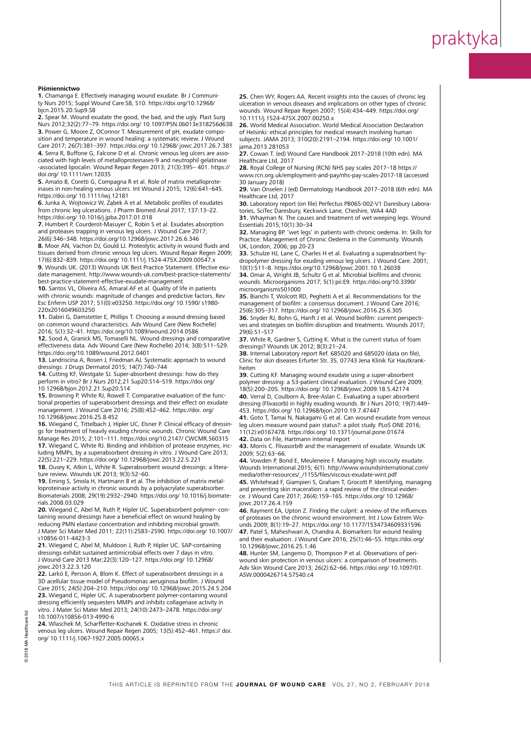#### **functional properties of superabsorbent dressings and their effect on superabsorbent dressings and their effect on the interactional control on the interactional control on the interactional control on the interactional c**

1. Chamanga E. Effectively managing wound exudate. Br J Communi-**1.** Chamanga E. Effectively managing wound exudate. Br J Communi-<br>ty Nurs 2015; Suppl Wound Care:S8, S10. https://doi.org/10.12968/ 16 Wiegand C, Tittelbach J, Hipler UC, Elsner P. Clinical efficacy of bjcn.2015.20.Sup9.S8 ty Nurs 2015; Suppl Wound Care:S8, S10. https://doi.org/10.12968/

**2.** Spear M. Wound exudate the good, the bad, and the ugly. Plast Surg Nurs 2012;32(2):77-79. https://doi.org/ 10.1097/PSN.0b013e318256d638 3. Power G, Moore Z, OConnor T. Measurement of pH, exudate composition and temperature in wound healing: a systematic review. J Wound<br>Care 2017; 26(7):381–397. https://doi.org/ 10.12968/ jowc.2017.26.7.3 **4.** Serra R, Buffone G, Falcone D et al. Chronic venous leg ulcers are associated with high levels of metalloproteinases-9 and neutrophil gelatinase -associated lipocalin. Wound Repair Regen 2013; 21(3):395– 401. https:// doi.org/ 10.1111/wrr.12035 **Piśmiennictwo**<br>
1. Chamang E. U. Wars 2015.20.5L<br>
ty Nurs 2015.20.5L<br>
2. Spear M. Wo<br>
Nurs 2015, 2012.32C<br>
2. Spear M. Wo<br>
Nurs 2012, 22(27), 26(7<br>
3. Power G, Mo<br>
sition and temporar G, Mo<br>
sition and temporar G, Mo<br>
sit Care 2017; 26(7):381–397. https://doi.org/ 10.12968/ jowc.2017.26.7.381

5. Amato B, Coretti G, Compagna R et al. Role of matrix metallo **5.** Amato B, Coretti G, Compagna R et al. Role of matrix metalloprote-<br>inases in non-healing venous ulcers. Int Wound J 2015; 12(6):641–645 https://doi.org/ 10.1111/iwj.12181 inases in non-healing venous ulcers. Int Wound J 2015; 12(6):641–645.

6. Junka A, Wojtowicz W, Ząbek A et al. Metabolic profiles of exudates from chronic leg ulcerations. J Pharm Biomed Anal 2017; 137:13–22. https://doi.org/ 10.1016/j.jpba.2017.01.018

**7.** Humbert P, Courderot-Masuyer C, Robin S et al. Exudates absorption and proteases trapping in venous leg ulcers. J Wound Care 2017; 26(6):346–348. https://doi.org/10.12968/jowc.2017.26.6.346

8. Moor AN, Vachon DJ, Gould LJ. Proteolytic activity in wound fluids and tissues derived from chronic venous leg ulcers. Wound Repair Regen 2009; 17(6):832-839. https://doi.org/ 10.1111/j.1524-475X.2009.00547.x

9. Wounds UK. (2013) Wounds UK Best Practice Statement. Effective exudate management. http://www.wounds-uk.com/best-practice-statements/ best-practice-statement-effective-exudate-management

**10.** Santos VL, Oliveira AS, Amaral AF et al. Quality of life in patients with chronic wounds: magnitude of changes and predictive factors. Rev Esc Enferm USP 2017; 51(0):e03250. https://doi.org/ 10.1590/ s1980-10.1007/s10856-013-4990-6 220x2016049603250

**11.** Dabiri G, Damstetter E, Phillips T. Choosing a wound dressing based on common wound characteristics. Adv Wound Care (New Rochelle) 2016; 5(1):32–41. https://doi.org/10.1089/wound.2014.0586

12. Sood A, Granick MS, Tomaselli NL. Wound dressings and comparative effectiveness data. Adv Wound Care (New Rochelle) 2014; 3(8):511–529.<br>https://doi.org/10.1089/wound.2012.0401 https://doi.org/10.1089/wound.2012.0401

13. Landriscina A, Rosen J, Friedman AJ. Systematic approach to wound dressings. J Drugs Dermatol 2015; 14(7):740–744

14. Cutting KF, Westgate SJ. Super-absorbent dressings: how do they perform in vitro? Br J Nurs 2012; 21 Sup 20: S14-S19. https://doi.org/ perform in vitro? Br J Nurs 2012;21 Sup20:S14–S19. https://doi.org/<br>10.12968/bjon.2012.21.Sup20.S14 10.12968/bjon.2012.21.Sup20.S14

15. Browning P, White RJ, Rowell T. Comparative evaluation of the functional properties of superabsorbent dressings and their effect on exudate management. J Wound Care 2016; 25(8):452-462. https://doi. org/ 10.12968/jowc.2016.25.8.452

16. Wiegand C, Tittelbach J, Hipler UC, Elsner P. Clinical efficacy of dressings for treatment of heavily exuding chronic wounds. Chronic Wound Care<br>Manage Res 2015; 2:101–111. https://doi.org/10.2147/ CWCMR.S60315 17. Wiegand C, White RJ. Binding and inhibition of protease enzymes, including MMPs, by a superabsorbent dressing in vitro. J Wound Care 2013; 22(5):221–229. https://doi.org/ 10.12968/jowc.2013.22.5.221 Manage Res 2015; 2:101–111. https://doi.org/10.2147/ CWCMR.S60315

**18.** Ousey K, Atkin L, White R. Superabsorbent wound dressings: a literature review. Wounds UK 2013; 9(3):52–60.

**19.** Eming S, Smola H, Hartmann B et al. The inhibition of matrix metalloproteinase activity in chronic wounds by a polyacrylate superabsorber. Biomaterials 2008; 29(19):2932–2940. https://doi.org/ 10.1016/j.biomaterials.2008.03.029

**20.** Wiegand C, Abel M, Ruth P, Hipler UC. Superabsorbent polymer- containing wound dressings have a beneficial effect on wound healing by reducing PMN elastase concentration and inhibiting microbial growth. J Mater Sci Mater Med 2011; 22(11):2583–2590. https://doi.org/ 10.1007/ s10856-011-4423-3

**21.** Wiegand C, Abel M, Muldoon J, Ruth P, Hipler UC. SAP-containing dressings exhibit sustained antimicrobial effects over 7 days in vitro. J Wound Care 2013 Mar;22(3):120–127. https://doi.org/ 10.12968/ jowc.2013.22.3.120

**22.** Larkö E, Persson A, Blom K. Effect of superabsorbent dressings in a 3D acellular tissue model of Pseudomonas aeruginosa biofilm. J Wound Care 2015; 24(5):204–210. https://doi.org/ 10.12968/jowc.2015.24.5.204 **23.** Wiegand C, Hipler UC. A superabsorbent polymer-containing wound dressing efficiently sequesters MMPs and inhibits collagenase activity in vitro. J Mater Sci Mater Med 2013; 24(10):2473–2478. https://doi.org/ 10.1007/s10856-013-4990-6

**24.** Wlaschek M, Scharffetter-Kochanek K. Oxidative stress in chronic venous leg ulcers. Wound Repair Regen 2005; 13(5):452–461. https:// doi. org/ 10.1111/j.1067-1927.2005.00065.x

**25.** Chen WY, Rogers AA. Recent insights into the causes of chronic leg ulceration in venous diseases and implications on other types of chronic wounds. Wound Repair Regen 2007; 15(4):434-449. https://doi.org/ 33 Schulze HJ, Lane C, Charles H et al. Evaluating a superabsorbent 10.1111/j.1524-475X.2007.00250.x

**26.** World Medical Association. World Medical Association Declaration of Helsinki: ethical principles for medical research involving human subjects. JAMA 2013; 310(20):2191–2194. https://doi.org/ 10.1001/ jama.2013.281053

wounds. Microorganisms 2017; 5(1):pii:E9. https://doi.org/10.3390/ **27.** Cowan T. (ed) Wound Care Handbook 2017–2018 (10th edn). MA Healthcare Ltd, 2017

**28.** Royal College of Nursing (RCN) NHS pay scales 2017–18 https:// Let noyal concept of traising (netry this pay scales 2017 To https://<br>Maaas rep. org.uk/omployment. and pay/phe-pay-ceales-2017-19 (accorde

www.rcn.org.uk/employment-and-pay/nhs-pay-scales-2017-18 (accessed<br>20.January 2018) 29. Van Onselen J (ed) Dermatology Handbook 2017–2018 (6th edn). MA 30 January 2018)

Healthcare Ltd, 2017

30. Laboratory report (on file) Perfectus PB065-002-V1 Daresbury Laboratories. SciTec Daresbury. Keckwick Lane. Cheshire. WA4 4AD tories, SciTec Daresbury, Keckwick Lane, Cheshire, WA4 4AD<br>**31.** Whayman N. The causes and treatment of wet weeping legs. Wound

Essentials 2015;10(1):30–34 **32.** Managing BP. 'wet legs' in patients with chronic oedema. In: Skills for Practice: Management of Chronic Oedema in the Community. Wounds UK, London, 2006; pp 20-23

**33.** Schulze HJ, Lane C, Charles H et al. Evaluating a superabsorbent hyaropolymer aressing for exuality vehous leg uicers. I wound Car 10(1):511–8. https://doi.org/10.12968/jowc.2001.10.1.26038 dropolymer dressing for exuding venous leg ulcers. J Wound Care. 2001;

**34.** Omar A, Wright JB, Schultz G et al. Microbial biofilms and chronic<br>wounds. Microscopenisms 2017; E(1) with E. Https://dai.com/10.2200/ wounds. Microorganisms 2017; 5(1):pii:E9. https://doi.org/10.3390/<br>misroorganisms 201000 microorganisms501000

meroorgammisso rooo<br>25. Dianchi T, Wolcott PD, Dogbotti A et al. Pecommondations for the **35.** Bianchi T, Wolcott RD, Peghetti A et al. Recommendations for the management of biofilm: a consensus document UMound Care 2016; 25(6):305-317. https://doi.org/ 10.12968/jowc.2016.25.6.305 36. Snyder RJ, Bohn G, Hanft J et al. Wound biofilm: current perspectives and strategies on biofilm disruption and treatments. Wounds 2017; 29(6):S1-S17 management of biofilm: a consensus document. J Wound Care 2016;

37. White R, Gardner S, Cutting K. What is the current status of foam dressings? Wounds UK 2012; 8(3):21–24.

**38.** Internal Laboratory report Ref. 685020 and 685020 (data on file), Clinic for skin diseases Erfurter Str. 35, 07743 Jena Klinik für Hautkrankmanaging and preventing skin maceration: a rapid review of the clinical review of the clinical review of the c heiten

**39.** Cutting KF. Managing wound exudate using a super-absorbent polymer dressing: a 53-patient clinical evaluation. J Wound Care 2009; 16(5).200–205. https://doi.org/ 10.12966/jowc.2009.16.5.42174<br>**40.** Verral D, Coulborn A, Bree-Aslan C. Evaluating a super absorbent **out protect protect protect protect** on the chronic wound environment. In the contract of the chronic ment. In<br>How the chronic would be highly considered as the U.S. U.S. we 2010, 10(7) 18(5):200–205. https://doi.org/ 10.12968/jowc.2009.18.5.42174

dressing (Flivasorb) in highly exuding wounds. Br J Nurs 2010; 19(7):449– 47 Patel S, Maheshwari A, Chandra A. Biomarkers for wound healing **41.** Goto T, Tamai N, Nakagami G et al. Can wound exudate from venous 453. https://doi.org/ 10.12968/bjon.2010.19.7.47447

and the status of the intervaluation. Their evaluation of the care 2016;<br>leg ulcers measure wound pain status?: a pilot study. PLoS ONE 2016; 11(12):e0167478. https://doi.org/ 10.1371/journal.pone.01674

**42.** Data on File, Hartmann internal report

43. Morris C. Flivasorb® and the management of exudate. Wounds UK Adv Skin Wound Care 2013; 26(2):62–66. https://doi.org/ 10.1097/01. 2009; 5(2):63–66.

44. Vowden P, Bond E, Meuleneire F. Managing high viscosity exudate. Wounds International 2015; 6(1). http://www.woundsinternational.com/ media/other-resources/\_/1155/files/viscous-exudate-wint.pdf

**45.** Whitehead F, Giampieri S, Graham T, Grocott P. Identifying, managing and preventing skin maceration: a rapid review of the clinical evidence. J Wound Care 2017; 26(4):159–165. https://doi.org/ 10.12968/ jowc.2017.26.4.159

**46.** Rayment EA, Upton Z. Finding the culprit: a review of the influences of proteases on the chronic wound environment. Int J Low Extrem Wounds 2009; 8(1):19–27. https://doi.org/ 10.1177/1534734609331596 **47.** Patel S, Maheshwari A, Chandra A. Biomarkers for wound healing and their evaluation. J Wound Care 2016; 25(1):46–55. https://doi.org/ 10.12968/jowc.2016.25.1.46

**48.** Hunter SM, Langemo D, Thompson P et al. Observations of periwound skin protection in venous ulcers: a comparison of treatments. Adv Skin Wound Care 2013; 26(2):62–66. https://doi.org/ 10.1097/01. ASW.0000426714.57540.c4